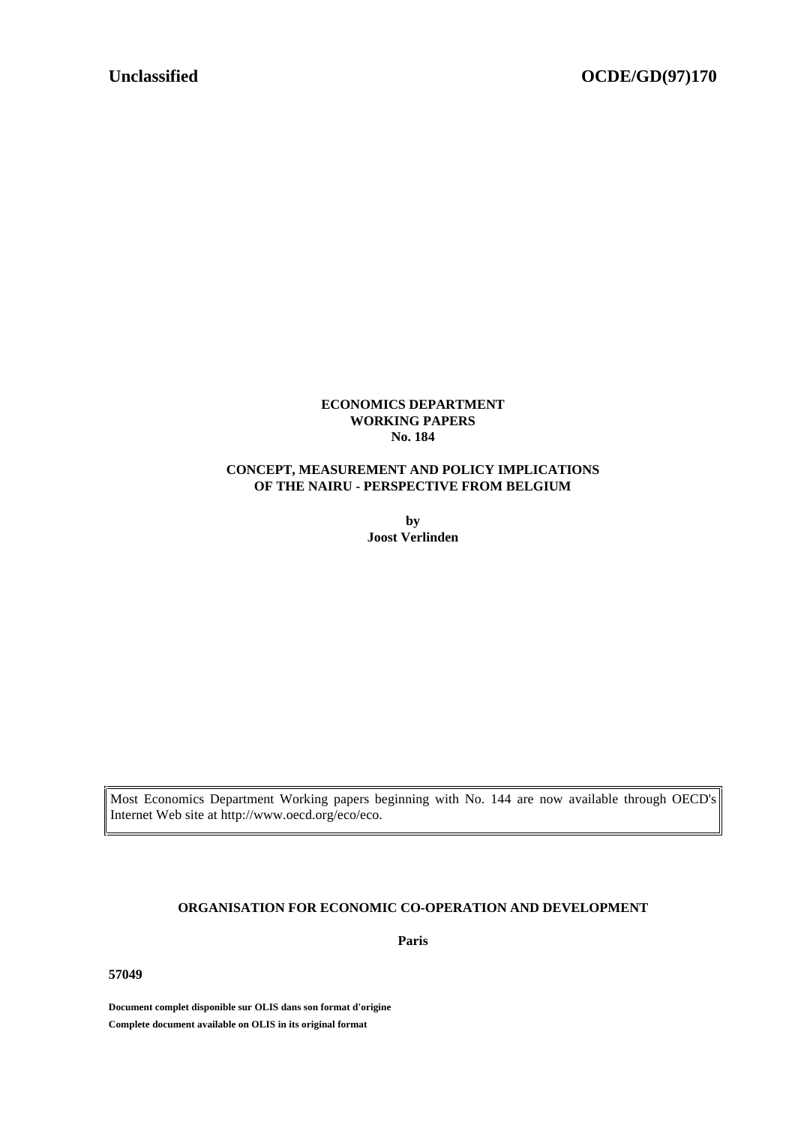#### **ECONOMICS DEPARTMENT WORKING PAPERS No. 184**

### **CONCEPT, MEASUREMENT AND POLICY IMPLICATIONS OF THE NAIRU - PERSPECTIVE FROM BELGIUM**

**by Joost Verlinden**

Most Economics Department Working papers beginning with No. 144 are now available through OECD's Internet Web site at http://www.oecd.org/eco/eco.

### **ORGANISATION FOR ECONOMIC CO-OPERATION AND DEVELOPMENT**

**Paris**

**57049**

**Document complet disponible sur OLIS dans son format d'origine Complete document available on OLIS in its original format**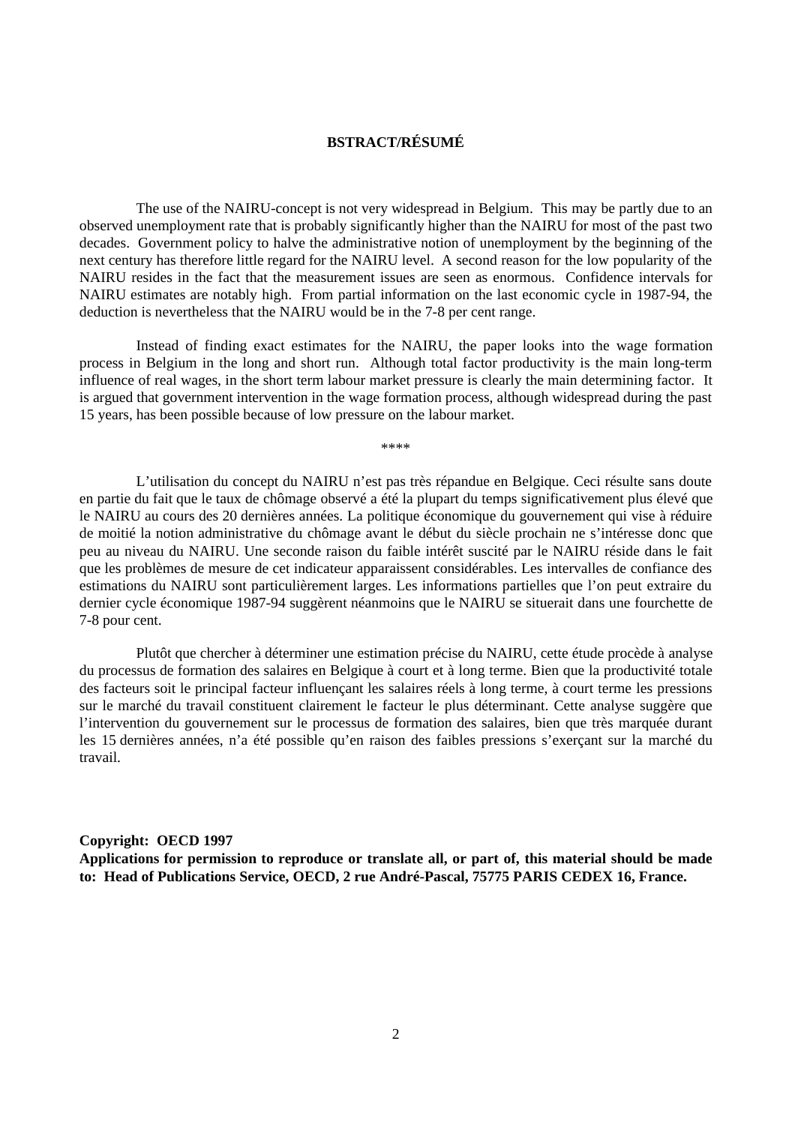# **BSTRACT/RÉSUMÉ**

The use of the NAIRU-concept is not very widespread in Belgium. This may be partly due to an observed unemployment rate that is probably significantly higher than the NAIRU for most of the past two decades. Government policy to halve the administrative notion of unemployment by the beginning of the next century has therefore little regard for the NAIRU level. A second reason for the low popularity of the NAIRU resides in the fact that the measurement issues are seen as enormous. Confidence intervals for NAIRU estimates are notably high. From partial information on the last economic cycle in 1987-94, the deduction is nevertheless that the NAIRU would be in the 7-8 per cent range.

Instead of finding exact estimates for the NAIRU, the paper looks into the wage formation process in Belgium in the long and short run. Although total factor productivity is the main long-term influence of real wages, in the short term labour market pressure is clearly the main determining factor. It is argued that government intervention in the wage formation process, although widespread during the past 15 years, has been possible because of low pressure on the labour market.

\*\*\*\*

L'utilisation du concept du NAIRU n'est pas très répandue en Belgique. Ceci résulte sans doute en partie du fait que le taux de chômage observé a été la plupart du temps significativement plus élevé que le NAIRU au cours des 20 dernières années. La politique économique du gouvernement qui vise à réduire de moitié la notion administrative du chômage avant le début du siècle prochain ne s'intéresse donc que peu au niveau du NAIRU. Une seconde raison du faible intérêt suscité par le NAIRU réside dans le fait que les problèmes de mesure de cet indicateur apparaissent considérables. Les intervalles de confiance des estimations du NAIRU sont particulièrement larges. Les informations partielles que l'on peut extraire du dernier cycle économique 1987-94 suggèrent néanmoins que le NAIRU se situerait dans une fourchette de 7-8 pour cent.

Plutôt que chercher à déterminer une estimation précise du NAIRU, cette étude procède à analyse du processus de formation des salaires en Belgique à court et à long terme. Bien que la productivité totale des facteurs soit le principal facteur influençant les salaires réels à long terme, à court terme les pressions sur le marché du travail constituent clairement le facteur le plus déterminant. Cette analyse suggère que l'intervention du gouvernement sur le processus de formation des salaires, bien que très marquée durant les 15 dernières années, n'a été possible qu'en raison des faibles pressions s'exerçant sur la marché du travail.

#### **Copyright: OECD 1997**

**Applications for permission to reproduce or translate all, or part of, this material should be made to: Head of Publications Service, OECD, 2 rue André-Pascal, 75775 PARIS CEDEX 16, France.**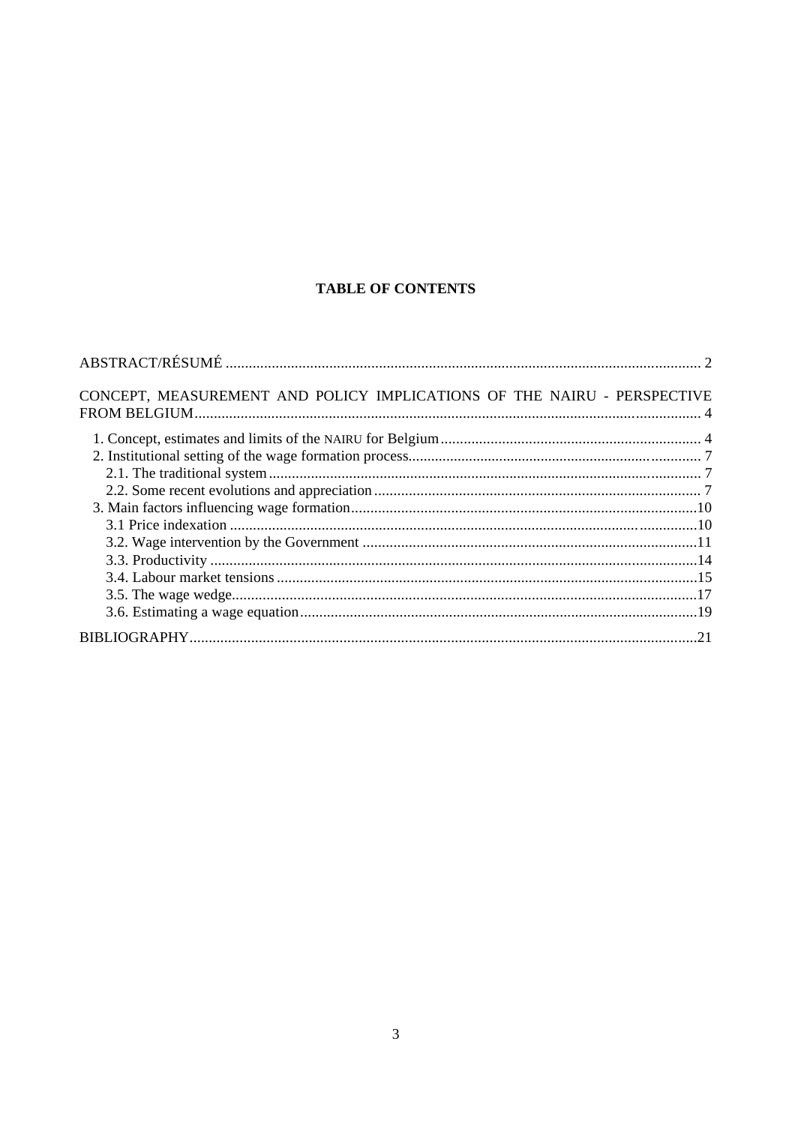# **TABLE OF CONTENTS**

| CONCEPT, MEASUREMENT AND POLICY IMPLICATIONS OF THE NAIRU - PERSPECTIVE |  |
|-------------------------------------------------------------------------|--|
|                                                                         |  |
|                                                                         |  |
|                                                                         |  |
|                                                                         |  |
|                                                                         |  |
|                                                                         |  |
|                                                                         |  |
|                                                                         |  |
|                                                                         |  |
|                                                                         |  |
|                                                                         |  |
|                                                                         |  |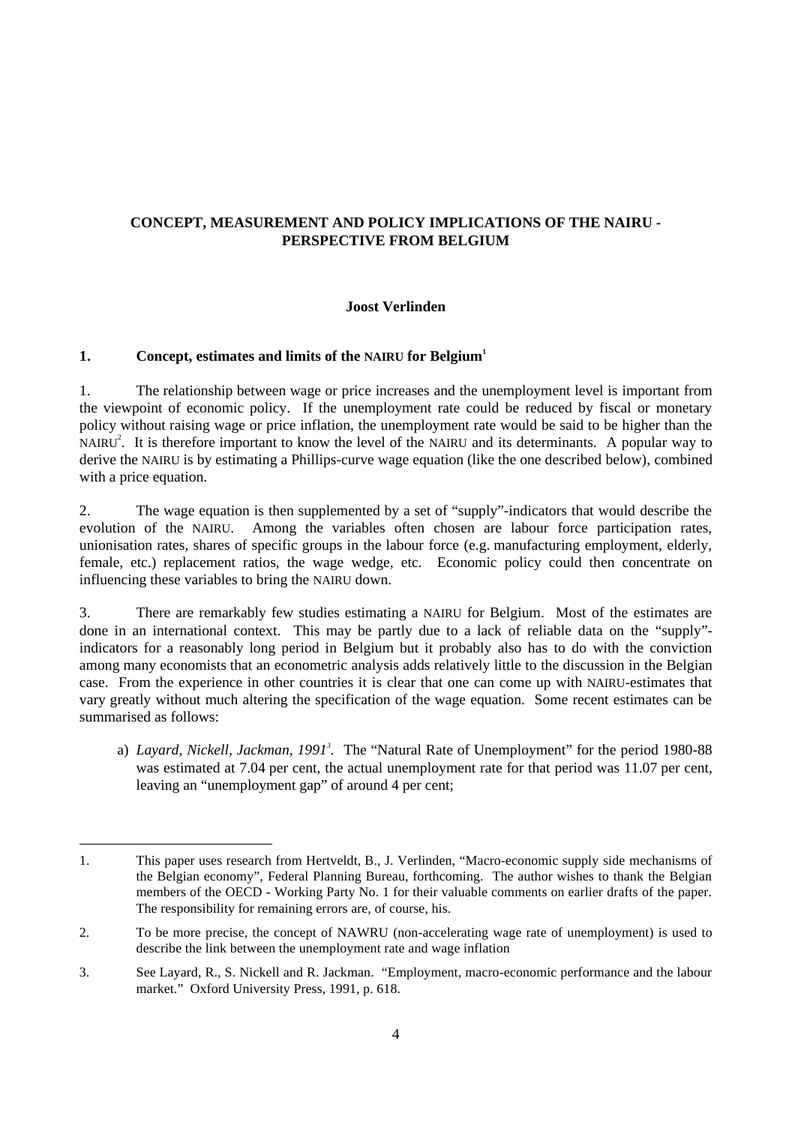# **CONCEPT, MEASUREMENT AND POLICY IMPLICATIONS OF THE NAIRU - PERSPECTIVE FROM BELGIUM**

# **Joost Verlinden**

# **1. Concept, estimates and limits of the NAIRU for Belgium<sup>1</sup>**

 $\overline{a}$ 

1. The relationship between wage or price increases and the unemployment level is important from the viewpoint of economic policy. If the unemployment rate could be reduced by fiscal or monetary policy without raising wage or price inflation, the unemployment rate would be said to be higher than the NAIRU<sup>2</sup>. It is therefore important to know the level of the NAIRU and its determinants. A popular way to derive the NAIRU is by estimating a Phillips-curve wage equation (like the one described below), combined with a price equation.

2. The wage equation is then supplemented by a set of "supply"-indicators that would describe the evolution of the NAIRU. Among the variables often chosen are labour force participation rates, unionisation rates, shares of specific groups in the labour force (e.g. manufacturing employment, elderly, female, etc.) replacement ratios, the wage wedge, etc. Economic policy could then concentrate on influencing these variables to bring the NAIRU down.

3. There are remarkably few studies estimating a NAIRU for Belgium. Most of the estimates are done in an international context. This may be partly due to a lack of reliable data on the "supply" indicators for a reasonably long period in Belgium but it probably also has to do with the conviction among many economists that an econometric analysis adds relatively little to the discussion in the Belgian case. From the experience in other countries it is clear that one can come up with NAIRU-estimates that vary greatly without much altering the specification of the wage equation. Some recent estimates can be summarised as follows:

a) *Layard, Nickell, Jackman, 1991*<sup>3</sup>. The "Natural Rate of Unemployment" for the period 1980-88 was estimated at 7.04 per cent, the actual unemployment rate for that period was 11.07 per cent, leaving an "unemployment gap" of around 4 per cent;

<sup>1.</sup> This paper uses research from Hertveldt, B., J. Verlinden, "Macro-economic supply side mechanisms of the Belgian economy", Federal Planning Bureau, forthcoming. The author wishes to thank the Belgian members of the OECD - Working Party No. 1 for their valuable comments on earlier drafts of the paper. The responsibility for remaining errors are, of course, his.

<sup>2.</sup> To be more precise, the concept of NAWRU (non-accelerating wage rate of unemployment) is used to describe the link between the unemployment rate and wage inflation

<sup>3.</sup> See Layard, R., S. Nickell and R. Jackman. "Employment, macro-economic performance and the labour market." Oxford University Press, 1991, p. 618.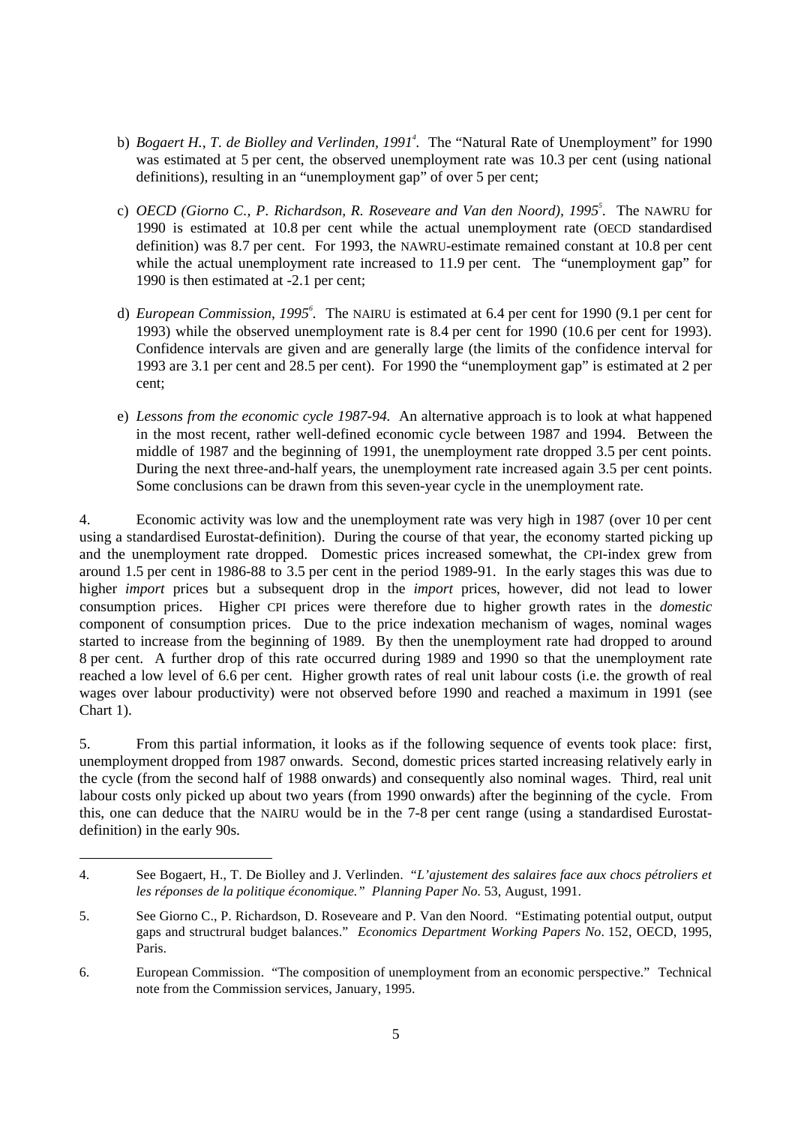- b) *Bogaert H., T. de Biolley and Verlinden, 1991<sup>4</sup>. The "Natural Rate of Unemployment" for 1990* was estimated at 5 per cent, the observed unemployment rate was 10.3 per cent (using national definitions), resulting in an "unemployment gap" of over 5 per cent;
- c) *OECD (Giorno C., P. Richardson, R. Roseveare and Van den Noord), 1995<sup>5</sup> .* The NAWRU for 1990 is estimated at 10.8 per cent while the actual unemployment rate (OECD standardised definition) was 8.7 per cent. For 1993, the NAWRU-estimate remained constant at 10.8 per cent while the actual unemployment rate increased to 11.9 per cent. The "unemployment gap" for 1990 is then estimated at -2.1 per cent;
- d) *European Commission, 1995<sup>6</sup> .* The NAIRU is estimated at 6.4 per cent for 1990 (9.1 per cent for 1993) while the observed unemployment rate is 8.4 per cent for 1990 (10.6 per cent for 1993). Confidence intervals are given and are generally large (the limits of the confidence interval for 1993 are 3.1 per cent and 28.5 per cent). For 1990 the "unemployment gap" is estimated at 2 per cent;
- e) *Lessons from the economic cycle 1987-94.* An alternative approach is to look at what happened in the most recent, rather well-defined economic cycle between 1987 and 1994. Between the middle of 1987 and the beginning of 1991, the unemployment rate dropped 3.5 per cent points. During the next three-and-half years, the unemployment rate increased again 3.5 per cent points. Some conclusions can be drawn from this seven-year cycle in the unemployment rate.

4. Economic activity was low and the unemployment rate was very high in 1987 (over 10 per cent using a standardised Eurostat-definition). During the course of that year, the economy started picking up and the unemployment rate dropped. Domestic prices increased somewhat, the CPI-index grew from around 1.5 per cent in 1986-88 to 3.5 per cent in the period 1989-91. In the early stages this was due to higher *import* prices but a subsequent drop in the *import* prices, however, did not lead to lower consumption prices. Higher CPI prices were therefore due to higher growth rates in the *domestic* component of consumption prices. Due to the price indexation mechanism of wages, nominal wages started to increase from the beginning of 1989. By then the unemployment rate had dropped to around 8 per cent. A further drop of this rate occurred during 1989 and 1990 so that the unemployment rate reached a low level of 6.6 per cent. Higher growth rates of real unit labour costs (i.e. the growth of real wages over labour productivity) were not observed before 1990 and reached a maximum in 1991 (see Chart 1).

5. From this partial information, it looks as if the following sequence of events took place: first, unemployment dropped from 1987 onwards. Second, domestic prices started increasing relatively early in the cycle (from the second half of 1988 onwards) and consequently also nominal wages. Third, real unit labour costs only picked up about two years (from 1990 onwards) after the beginning of the cycle. From this, one can deduce that the NAIRU would be in the 7-8 per cent range (using a standardised Eurostatdefinition) in the early 90s.

<sup>4.</sup> See Bogaert, H., T. De Biolley and J. Verlinden. "*L'ajustement des salaires face aux chocs pétroliers et les réponses de la politique économique." Planning Paper No.* 53, August, 1991.

<sup>5.</sup> See Giorno C., P. Richardson, D. Roseveare and P. Van den Noord. "Estimating potential output, output gaps and structrural budget balances." *Economics Department Working Papers No*. 152, OECD, 1995, Paris.

<sup>6.</sup> European Commission. "The composition of unemployment from an economic perspective." Technical note from the Commission services, January, 1995.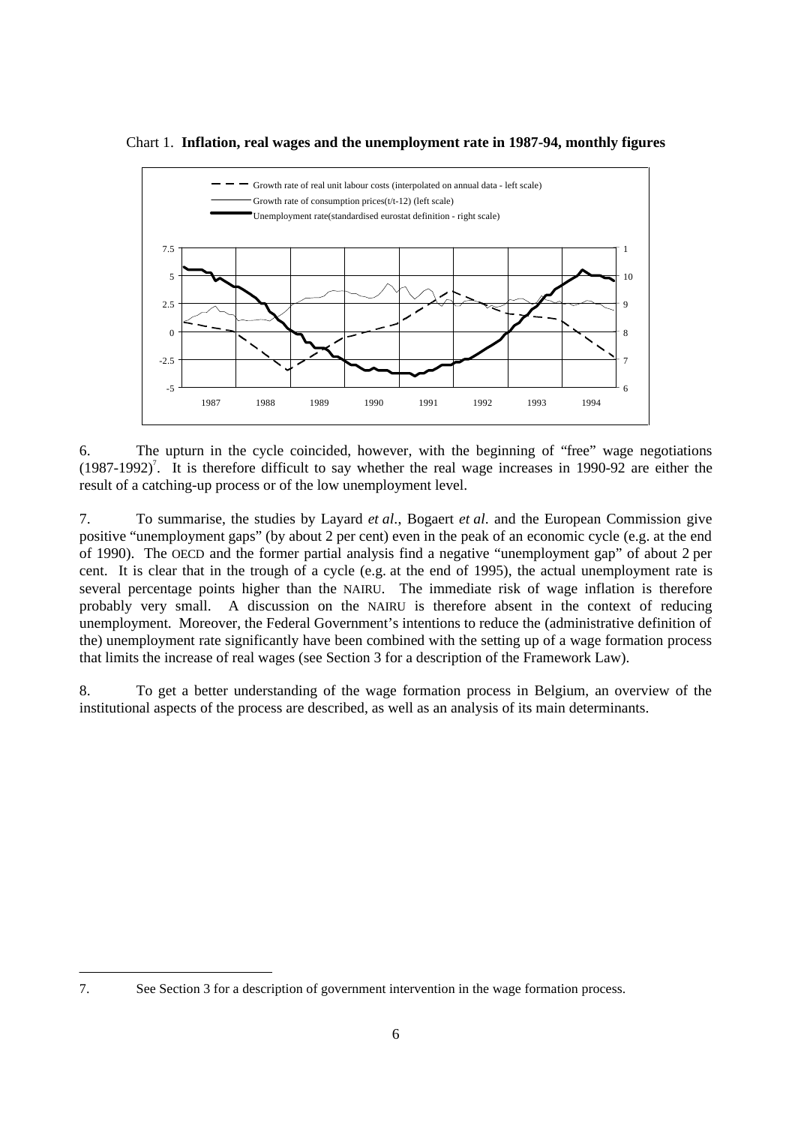



6. The upturn in the cycle coincided, however, with the beginning of "free" wage negotiations  $(1987-1992)^7$ . It is therefore difficult to say whether the real wage increases in 1990-92 are either the result of a catching-up process or of the low unemployment level.

7. To summarise, the studies by Layard *et al*., Bogaert *et al*. and the European Commission give positive "unemployment gaps" (by about 2 per cent) even in the peak of an economic cycle (e.g. at the end of 1990). The OECD and the former partial analysis find a negative "unemployment gap" of about 2 per cent. It is clear that in the trough of a cycle (e.g. at the end of 1995), the actual unemployment rate is several percentage points higher than the NAIRU. The immediate risk of wage inflation is therefore probably very small. A discussion on the NAIRU is therefore absent in the context of reducing unemployment. Moreover, the Federal Government's intentions to reduce the (administrative definition of the) unemployment rate significantly have been combined with the setting up of a wage formation process that limits the increase of real wages (see Section 3 for a description of the Framework Law).

8. To get a better understanding of the wage formation process in Belgium, an overview of the institutional aspects of the process are described, as well as an analysis of its main determinants.

<sup>7.</sup> See Section 3 for a description of government intervention in the wage formation process.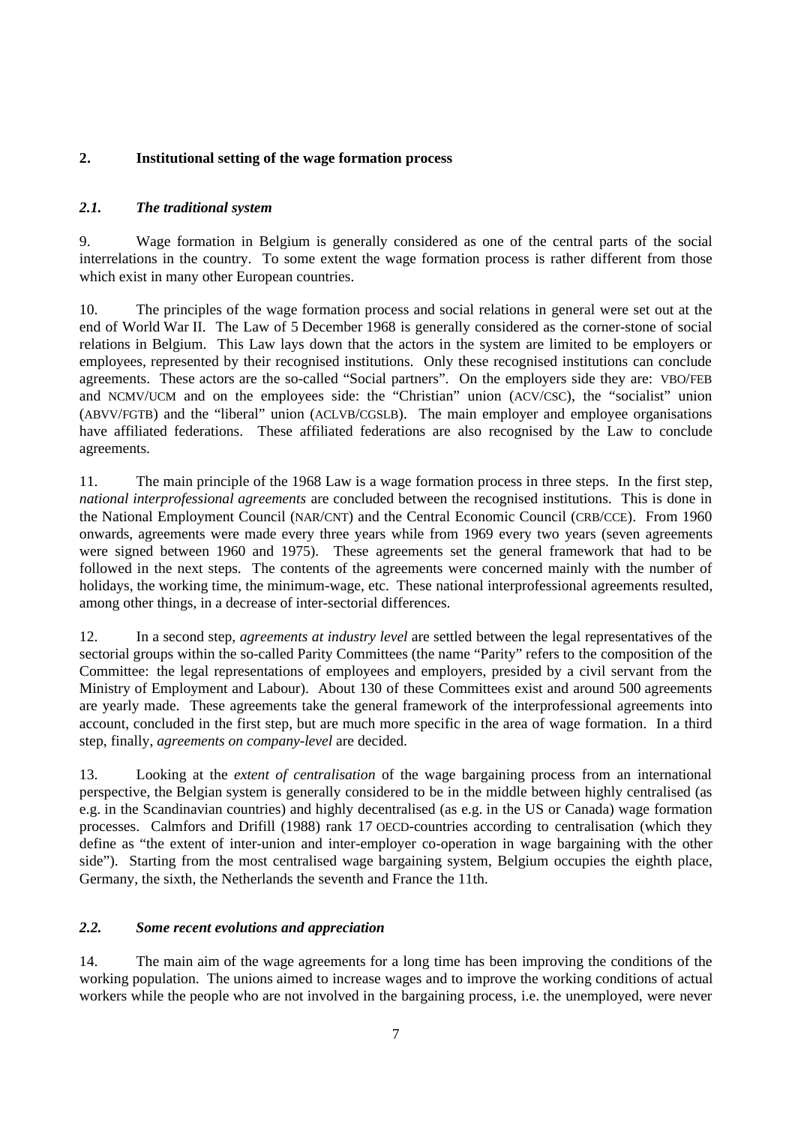# **2. Institutional setting of the wage formation process**

# *2.1. The traditional system*

9. Wage formation in Belgium is generally considered as one of the central parts of the social interrelations in the country. To some extent the wage formation process is rather different from those which exist in many other European countries.

10. The principles of the wage formation process and social relations in general were set out at the end of World War II. The Law of 5 December 1968 is generally considered as the corner-stone of social relations in Belgium. This Law lays down that the actors in the system are limited to be employers or employees, represented by their recognised institutions. Only these recognised institutions can conclude agreements. These actors are the so-called "Social partners". On the employers side they are: VBO/FEB and NCMV/UCM and on the employees side: the "Christian" union (ACV/CSC), the "socialist" union (ABVV/FGTB) and the "liberal" union (ACLVB/CGSLB). The main employer and employee organisations have affiliated federations. These affiliated federations are also recognised by the Law to conclude agreements.

11. The main principle of the 1968 Law is a wage formation process in three steps. In the first step, *national interprofessional agreements* are concluded between the recognised institutions. This is done in the National Employment Council (NAR/CNT) and the Central Economic Council (CRB/CCE). From 1960 onwards, agreements were made every three years while from 1969 every two years (seven agreements were signed between 1960 and 1975). These agreements set the general framework that had to be followed in the next steps. The contents of the agreements were concerned mainly with the number of holidays, the working time, the minimum-wage, etc. These national interprofessional agreements resulted, among other things, in a decrease of inter-sectorial differences.

12. In a second step, *agreements at industry level* are settled between the legal representatives of the sectorial groups within the so-called Parity Committees (the name "Parity" refers to the composition of the Committee: the legal representations of employees and employers, presided by a civil servant from the Ministry of Employment and Labour). About 130 of these Committees exist and around 500 agreements are yearly made. These agreements take the general framework of the interprofessional agreements into account, concluded in the first step, but are much more specific in the area of wage formation. In a third step, finally, *agreements on company-level* are decided.

13. Looking at the *extent of centralisation* of the wage bargaining process from an international perspective, the Belgian system is generally considered to be in the middle between highly centralised (as e.g. in the Scandinavian countries) and highly decentralised (as e.g. in the US or Canada) wage formation processes. Calmfors and Drifill (1988) rank 17 OECD-countries according to centralisation (which they define as "the extent of inter-union and inter-employer co-operation in wage bargaining with the other side"). Starting from the most centralised wage bargaining system, Belgium occupies the eighth place, Germany, the sixth, the Netherlands the seventh and France the 11th.

### *2.2. Some recent evolutions and appreciation*

14. The main aim of the wage agreements for a long time has been improving the conditions of the working population. The unions aimed to increase wages and to improve the working conditions of actual workers while the people who are not involved in the bargaining process, i.e. the unemployed, were never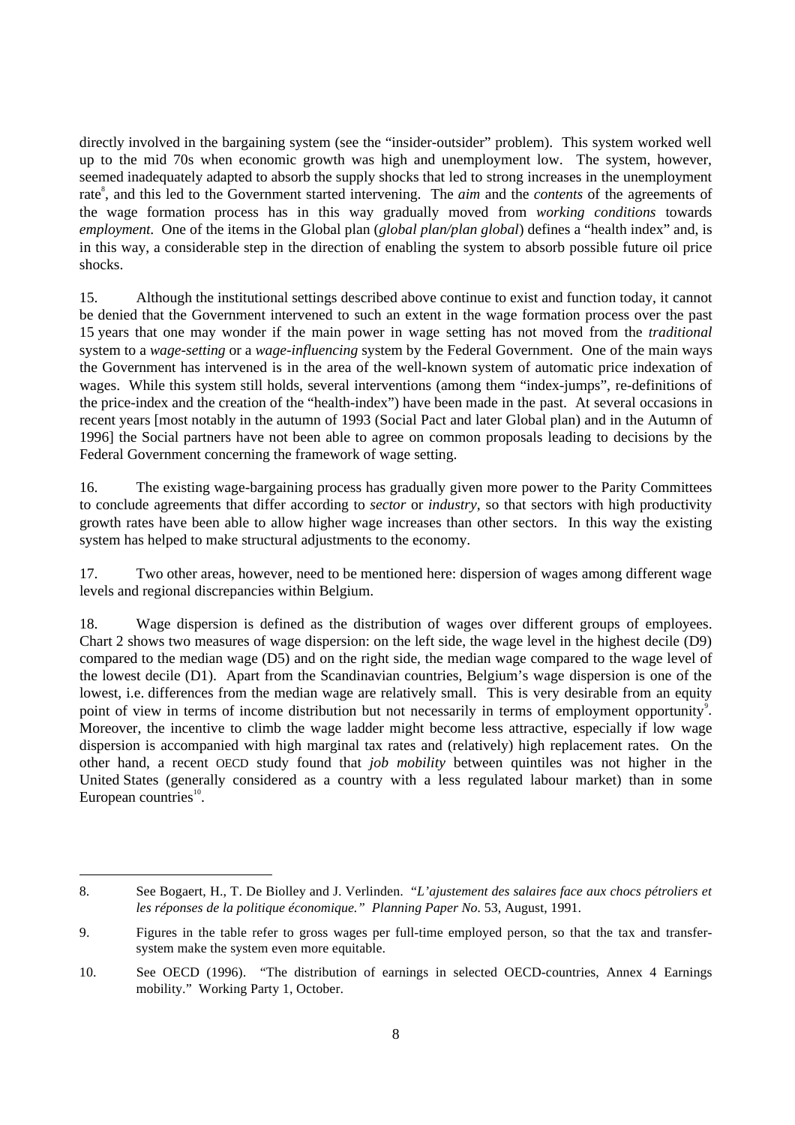directly involved in the bargaining system (see the "insider-outsider" problem). This system worked well up to the mid 70s when economic growth was high and unemployment low. The system, however, seemed inadequately adapted to absorb the supply shocks that led to strong increases in the unemployment rate<sup>8</sup>, and this led to the Government started intervening. The *aim* and the *contents* of the agreements of the wage formation process has in this way gradually moved from *working conditions* towards *employment*. One of the items in the Global plan (*global plan/plan global*) defines a "health index" and, is in this way, a considerable step in the direction of enabling the system to absorb possible future oil price shocks.

15. Although the institutional settings described above continue to exist and function today, it cannot be denied that the Government intervened to such an extent in the wage formation process over the past 15 years that one may wonder if the main power in wage setting has not moved from the *traditional* system to a *wage-setting* or a *wage-influencing* system by the Federal Government. One of the main ways the Government has intervened is in the area of the well-known system of automatic price indexation of wages. While this system still holds, several interventions (among them "index-jumps", re-definitions of the price-index and the creation of the "health-index") have been made in the past. At several occasions in recent years [most notably in the autumn of 1993 (Social Pact and later Global plan) and in the Autumn of 1996] the Social partners have not been able to agree on common proposals leading to decisions by the Federal Government concerning the framework of wage setting.

16. The existing wage-bargaining process has gradually given more power to the Parity Committees to conclude agreements that differ according to *sector* or *industry*, so that sectors with high productivity growth rates have been able to allow higher wage increases than other sectors. In this way the existing system has helped to make structural adjustments to the economy.

17. Two other areas, however, need to be mentioned here: dispersion of wages among different wage levels and regional discrepancies within Belgium.

18. Wage dispersion is defined as the distribution of wages over different groups of employees. Chart 2 shows two measures of wage dispersion: on the left side, the wage level in the highest decile (D9) compared to the median wage (D5) and on the right side, the median wage compared to the wage level of the lowest decile (D1). Apart from the Scandinavian countries, Belgium's wage dispersion is one of the lowest, i.e. differences from the median wage are relatively small. This is very desirable from an equity point of view in terms of income distribution but not necessarily in terms of employment opportunity<sup>9</sup>. Moreover, the incentive to climb the wage ladder might become less attractive, especially if low wage dispersion is accompanied with high marginal tax rates and (relatively) high replacement rates. On the other hand, a recent OECD study found that *job mobility* between quintiles was not higher in the United States (generally considered as a country with a less regulated labour market) than in some European countries $10$ .

<sup>8.</sup> See Bogaert, H., T. De Biolley and J. Verlinden. "*L'ajustement des salaires face aux chocs pétroliers et les réponses de la politique économique." Planning Paper No.* 53, August, 1991.

<sup>9.</sup> Figures in the table refer to gross wages per full-time employed person, so that the tax and transfersystem make the system even more equitable.

<sup>10.</sup> See OECD (1996). "The distribution of earnings in selected OECD-countries, Annex 4 Earnings mobility." Working Party 1, October.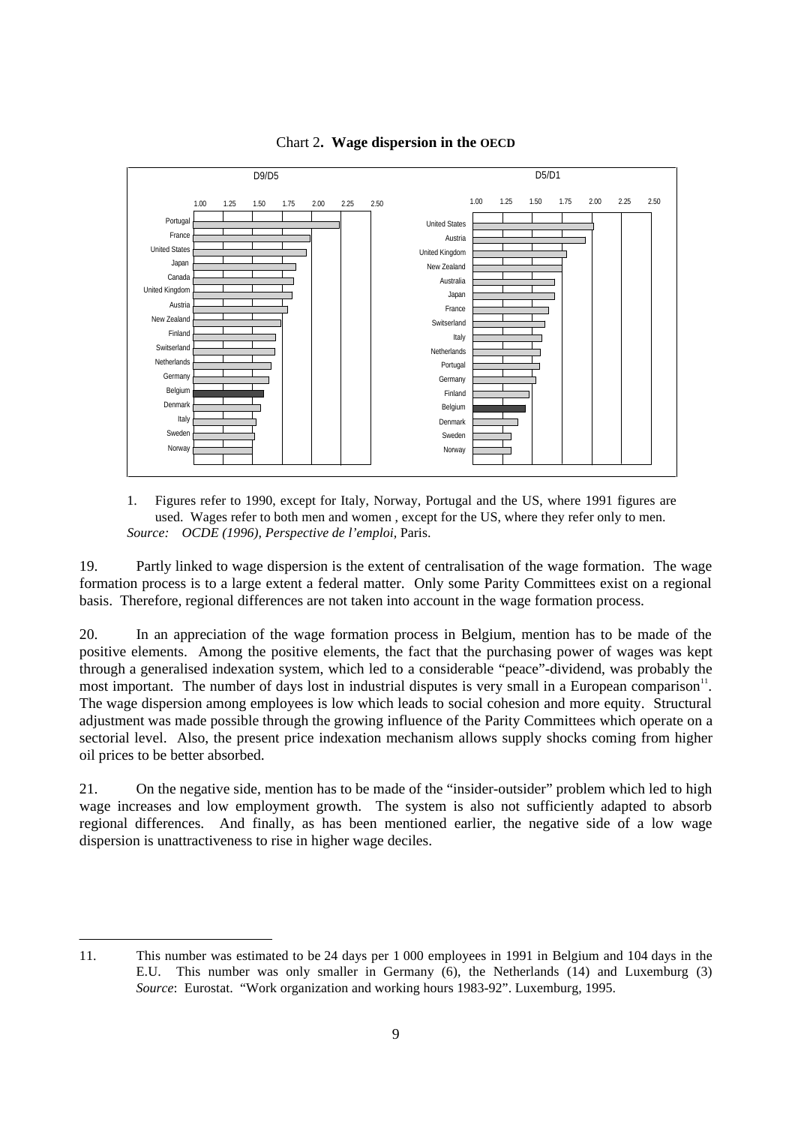

Chart 2**. Wage dispersion in the OECD**

1. Figures refer to 1990, except for Italy, Norway, Portugal and the US, where 1991 figures are used. Wages refer to both men and women , except for the US, where they refer only to men. *Source: OCDE (1996), Perspective de l'emploi,* Paris.

19. Partly linked to wage dispersion is the extent of centralisation of the wage formation. The wage formation process is to a large extent a federal matter. Only some Parity Committees exist on a regional basis. Therefore, regional differences are not taken into account in the wage formation process.

20. In an appreciation of the wage formation process in Belgium, mention has to be made of the positive elements. Among the positive elements, the fact that the purchasing power of wages was kept through a generalised indexation system, which led to a considerable "peace"-dividend, was probably the most important. The number of days lost in industrial disputes is very small in a European comparison<sup>11</sup>. The wage dispersion among employees is low which leads to social cohesion and more equity. Structural adjustment was made possible through the growing influence of the Parity Committees which operate on a sectorial level. Also, the present price indexation mechanism allows supply shocks coming from higher oil prices to be better absorbed.

21. On the negative side, mention has to be made of the "insider-outsider" problem which led to high wage increases and low employment growth. The system is also not sufficiently adapted to absorb regional differences. And finally, as has been mentioned earlier, the negative side of a low wage dispersion is unattractiveness to rise in higher wage deciles.

 $\overline{a}$ 11. This number was estimated to be 24 days per 1 000 employees in 1991 in Belgium and 104 days in the E.U. This number was only smaller in Germany (6), the Netherlands (14) and Luxemburg (3) *Source*: Eurostat. "Work organization and working hours 1983-92". Luxemburg, 1995.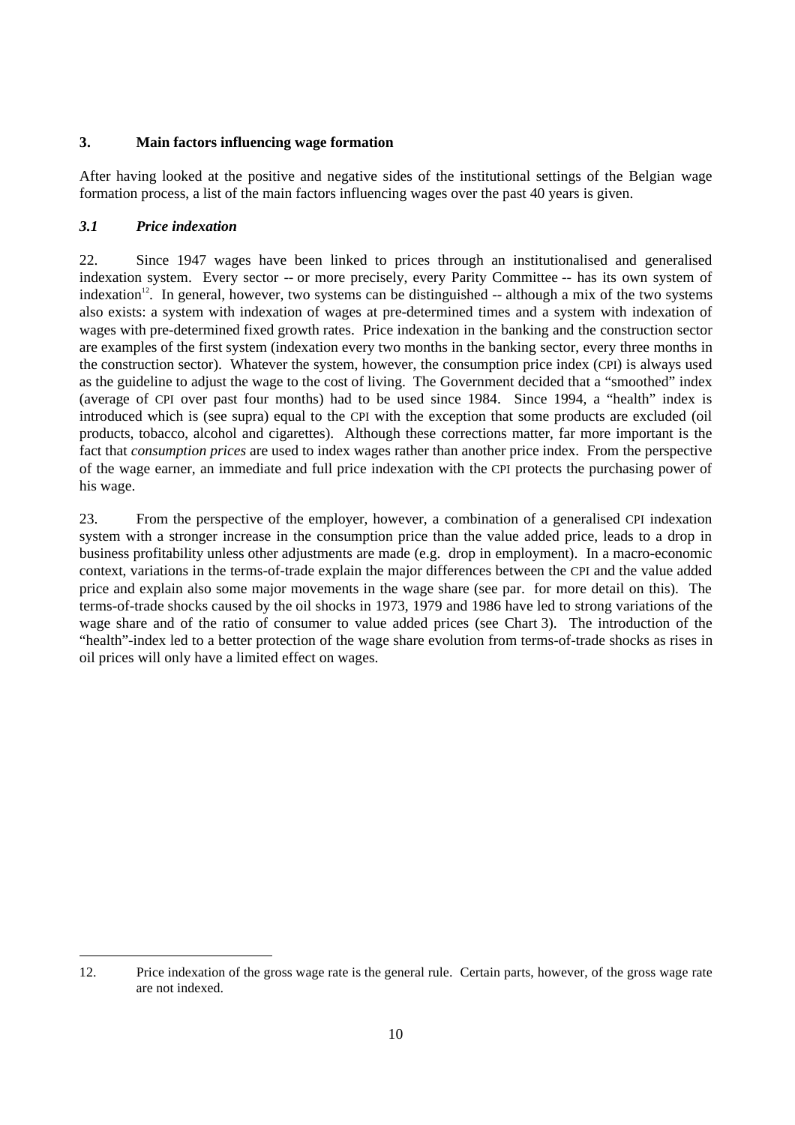# **3. Main factors influencing wage formation**

After having looked at the positive and negative sides of the institutional settings of the Belgian wage formation process, a list of the main factors influencing wages over the past 40 years is given.

# *3.1 Price indexation*

 $\overline{a}$ 

22. Since 1947 wages have been linked to prices through an institutionalised and generalised indexation system. Every sector -- or more precisely, every Parity Committee -- has its own system of indexation<sup>12</sup>. In general, however, two systems can be distinguished  $-$  although a mix of the two systems also exists: a system with indexation of wages at pre-determined times and a system with indexation of wages with pre-determined fixed growth rates. Price indexation in the banking and the construction sector are examples of the first system (indexation every two months in the banking sector, every three months in the construction sector). Whatever the system, however, the consumption price index (CPI) is always used as the guideline to adjust the wage to the cost of living. The Government decided that a "smoothed" index (average of CPI over past four months) had to be used since 1984. Since 1994, a "health" index is introduced which is (see supra) equal to the CPI with the exception that some products are excluded (oil products, tobacco, alcohol and cigarettes). Although these corrections matter, far more important is the fact that *consumption prices* are used to index wages rather than another price index. From the perspective of the wage earner, an immediate and full price indexation with the CPI protects the purchasing power of his wage.

23. From the perspective of the employer, however, a combination of a generalised CPI indexation system with a stronger increase in the consumption price than the value added price, leads to a drop in business profitability unless other adjustments are made (e.g. drop in employment). In a macro-economic context, variations in the terms-of-trade explain the major differences between the CPI and the value added price and explain also some major movements in the wage share (see par. for more detail on this). The terms-of-trade shocks caused by the oil shocks in 1973, 1979 and 1986 have led to strong variations of the wage share and of the ratio of consumer to value added prices (see Chart 3). The introduction of the "health"-index led to a better protection of the wage share evolution from terms-of-trade shocks as rises in oil prices will only have a limited effect on wages.

<sup>12.</sup> Price indexation of the gross wage rate is the general rule. Certain parts, however, of the gross wage rate are not indexed.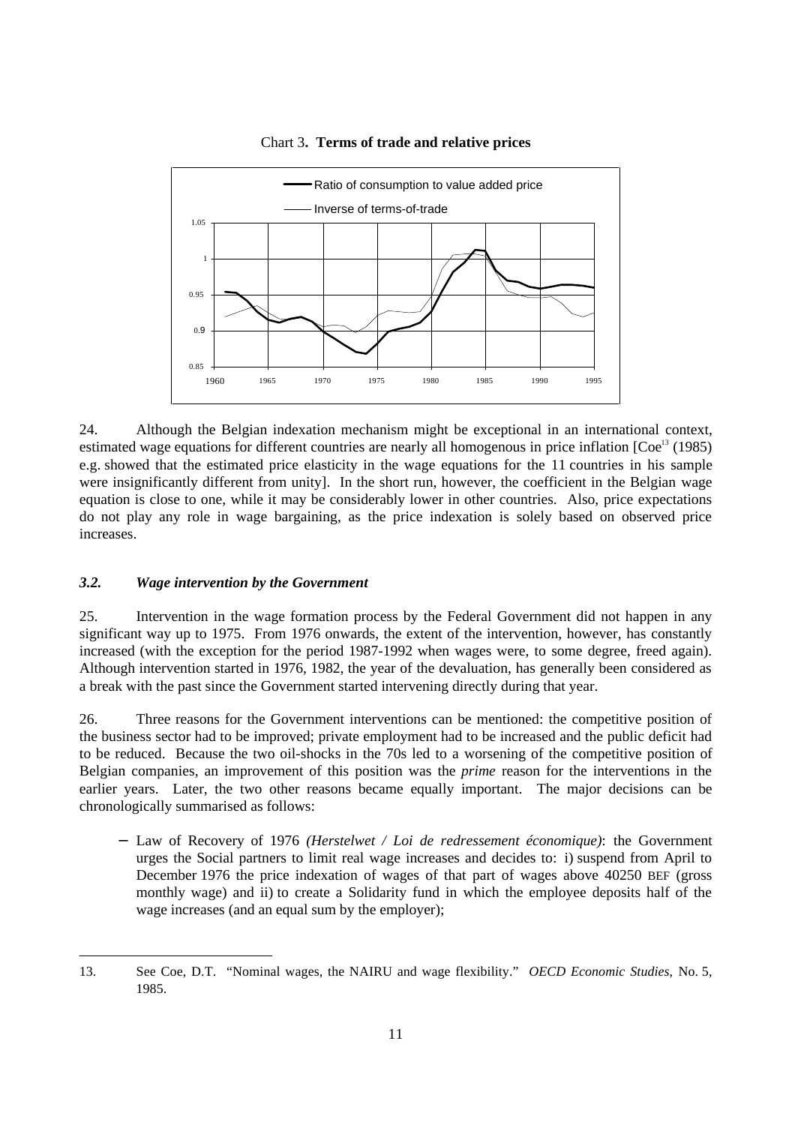

#### Chart 3**. Terms of trade and relative prices**

24. Although the Belgian indexation mechanism might be exceptional in an international context, estimated wage equations for different countries are nearly all homogenous in price inflation  $[Coe<sup>13</sup> (1985)]$ e.g. showed that the estimated price elasticity in the wage equations for the 11 countries in his sample were insignificantly different from unity]. In the short run, however, the coefficient in the Belgian wage equation is close to one, while it may be considerably lower in other countries. Also, price expectations do not play any role in wage bargaining, as the price indexation is solely based on observed price increases.

#### *3.2. Wage intervention by the Government*

 $\overline{a}$ 

25. Intervention in the wage formation process by the Federal Government did not happen in any significant way up to 1975. From 1976 onwards, the extent of the intervention, however, has constantly increased (with the exception for the period 1987-1992 when wages were, to some degree, freed again). Although intervention started in 1976, 1982, the year of the devaluation, has generally been considered as a break with the past since the Government started intervening directly during that year.

26. Three reasons for the Government interventions can be mentioned: the competitive position of the business sector had to be improved; private employment had to be increased and the public deficit had to be reduced. Because the two oil-shocks in the 70s led to a worsening of the competitive position of Belgian companies, an improvement of this position was the *prime* reason for the interventions in the earlier years. Later, the two other reasons became equally important. The major decisions can be chronologically summarised as follows:

− Law of Recovery of 1976 *(Herstelwet / Loi de redressement économique)*: the Government urges the Social partners to limit real wage increases and decides to: i) suspend from April to December 1976 the price indexation of wages of that part of wages above 40250 BEF (gross monthly wage) and ii) to create a Solidarity fund in which the employee deposits half of the wage increases (and an equal sum by the employer);

<sup>13.</sup> See Coe, D.T. "Nominal wages, the NAIRU and wage flexibility." *OECD Economic Studies*, No. 5, 1985.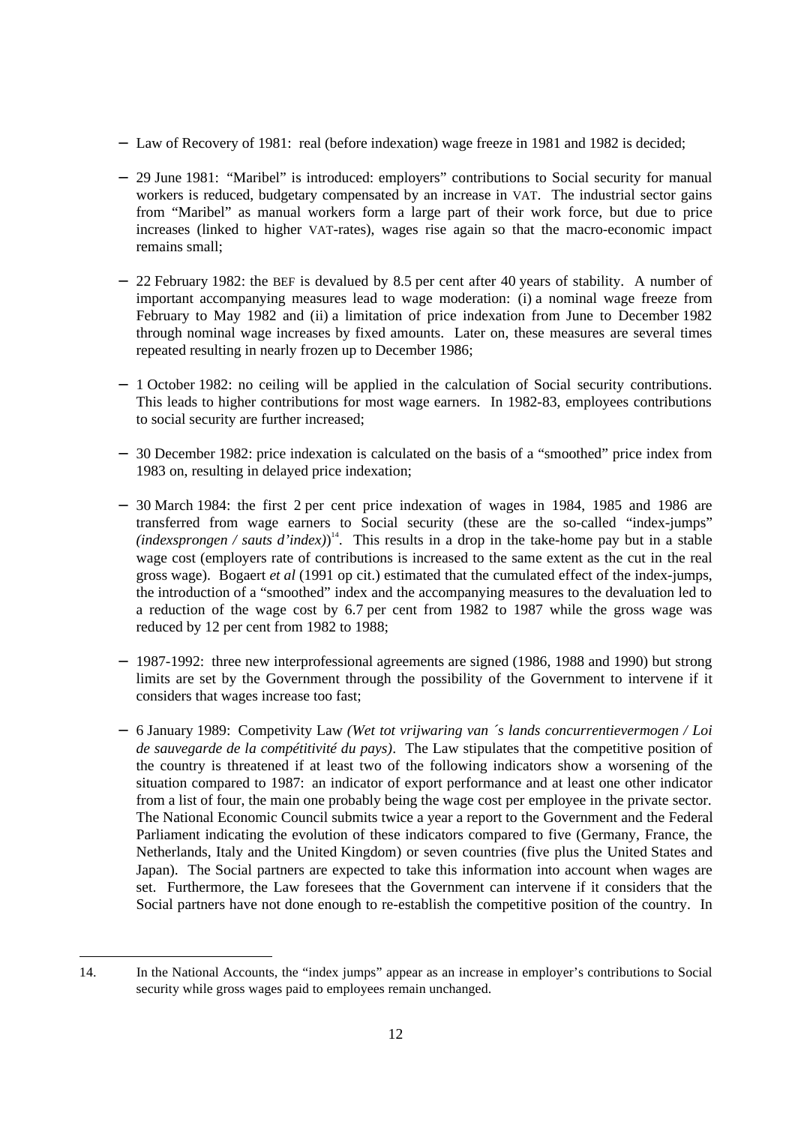- − Law of Recovery of 1981: real (before indexation) wage freeze in 1981 and 1982 is decided;
- − 29 June 1981: "Maribel" is introduced: employers" contributions to Social security for manual workers is reduced, budgetary compensated by an increase in VAT. The industrial sector gains from "Maribel" as manual workers form a large part of their work force, but due to price increases (linked to higher VAT-rates), wages rise again so that the macro-economic impact remains small;
- − 22 February 1982: the BEF is devalued by 8.5 per cent after 40 years of stability. A number of important accompanying measures lead to wage moderation: (i) a nominal wage freeze from February to May 1982 and (ii) a limitation of price indexation from June to December 1982 through nominal wage increases by fixed amounts. Later on, these measures are several times repeated resulting in nearly frozen up to December 1986;
- − 1 October 1982: no ceiling will be applied in the calculation of Social security contributions. This leads to higher contributions for most wage earners. In 1982-83, employees contributions to social security are further increased;
- − 30 December 1982: price indexation is calculated on the basis of a "smoothed" price index from 1983 on, resulting in delayed price indexation;
- − 30 March 1984: the first 2 per cent price indexation of wages in 1984, 1985 and 1986 are transferred from wage earners to Social security (these are the so-called "index-jumps"  $(index sprongen / sauts d'index))$ <sup>14</sup>. This results in a drop in the take-home pay but in a stable wage cost (employers rate of contributions is increased to the same extent as the cut in the real gross wage). Bogaert *et al* (1991 op cit.) estimated that the cumulated effect of the index-jumps, the introduction of a "smoothed" index and the accompanying measures to the devaluation led to a reduction of the wage cost by 6.7 per cent from 1982 to 1987 while the gross wage was reduced by 12 per cent from 1982 to 1988;
- − 1987-1992: three new interprofessional agreements are signed (1986, 1988 and 1990) but strong limits are set by the Government through the possibility of the Government to intervene if it considers that wages increase too fast;
- − 6 January 1989: Competivity Law *(Wet tot vrijwaring van ´s lands concurrentievermogen / Loi de sauvegarde de la compétitivité du pays)*. The Law stipulates that the competitive position of the country is threatened if at least two of the following indicators show a worsening of the situation compared to 1987: an indicator of export performance and at least one other indicator from a list of four, the main one probably being the wage cost per employee in the private sector. The National Economic Council submits twice a year a report to the Government and the Federal Parliament indicating the evolution of these indicators compared to five (Germany, France, the Netherlands, Italy and the United Kingdom) or seven countries (five plus the United States and Japan). The Social partners are expected to take this information into account when wages are set. Furthermore, the Law foresees that the Government can intervene if it considers that the Social partners have not done enough to re-establish the competitive position of the country. In

<sup>14.</sup> In the National Accounts, the "index jumps" appear as an increase in employer's contributions to Social security while gross wages paid to employees remain unchanged.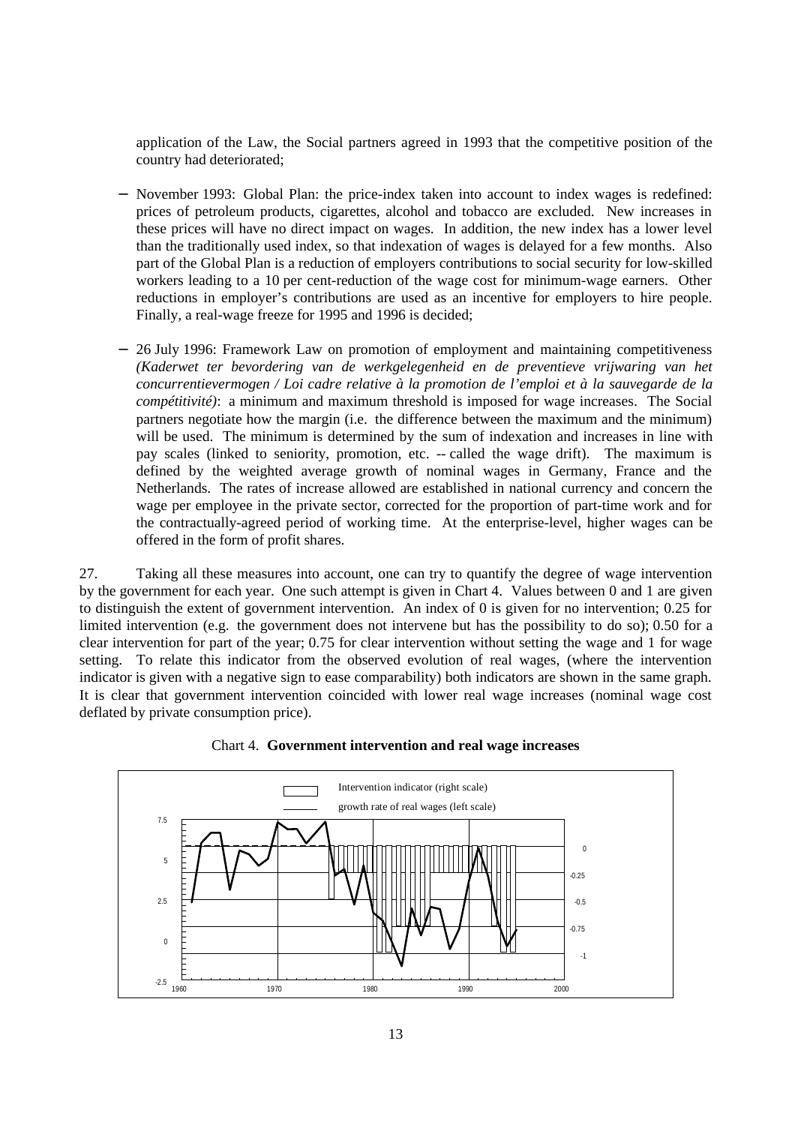application of the Law, the Social partners agreed in 1993 that the competitive position of the country had deteriorated;

- November 1993: Global Plan: the price-index taken into account to index wages is redefined: prices of petroleum products, cigarettes, alcohol and tobacco are excluded. New increases in these prices will have no direct impact on wages. In addition, the new index has a lower level than the traditionally used index, so that indexation of wages is delayed for a few months. Also part of the Global Plan is a reduction of employers contributions to social security for low-skilled workers leading to a 10 per cent-reduction of the wage cost for minimum-wage earners. Other reductions in employer's contributions are used as an incentive for employers to hire people. Finally, a real-wage freeze for 1995 and 1996 is decided;
- − 26 July 1996: Framework Law on promotion of employment and maintaining competitiveness *(Kaderwet ter bevordering van de werkgelegenheid en de preventieve vrijwaring van het concurrentievermogen / Loi cadre relative à la promotion de l'emploi et à la sauvegarde de la compétitivité)*: a minimum and maximum threshold is imposed for wage increases. The Social partners negotiate how the margin (i.e. the difference between the maximum and the minimum) will be used. The minimum is determined by the sum of indexation and increases in line with pay scales (linked to seniority, promotion, etc. -- called the wage drift). The maximum is defined by the weighted average growth of nominal wages in Germany, France and the Netherlands. The rates of increase allowed are established in national currency and concern the wage per employee in the private sector, corrected for the proportion of part-time work and for the contractually-agreed period of working time. At the enterprise-level, higher wages can be offered in the form of profit shares.

27. Taking all these measures into account, one can try to quantify the degree of wage intervention by the government for each year. One such attempt is given in Chart 4. Values between 0 and 1 are given to distinguish the extent of government intervention. An index of 0 is given for no intervention; 0.25 for limited intervention (e.g. the government does not intervene but has the possibility to do so); 0.50 for a clear intervention for part of the year; 0.75 for clear intervention without setting the wage and 1 for wage setting. To relate this indicator from the observed evolution of real wages, (where the intervention indicator is given with a negative sign to ease comparability) both indicators are shown in the same graph. It is clear that government intervention coincided with lower real wage increases (nominal wage cost deflated by private consumption price).



### Chart 4. **Government intervention and real wage increases**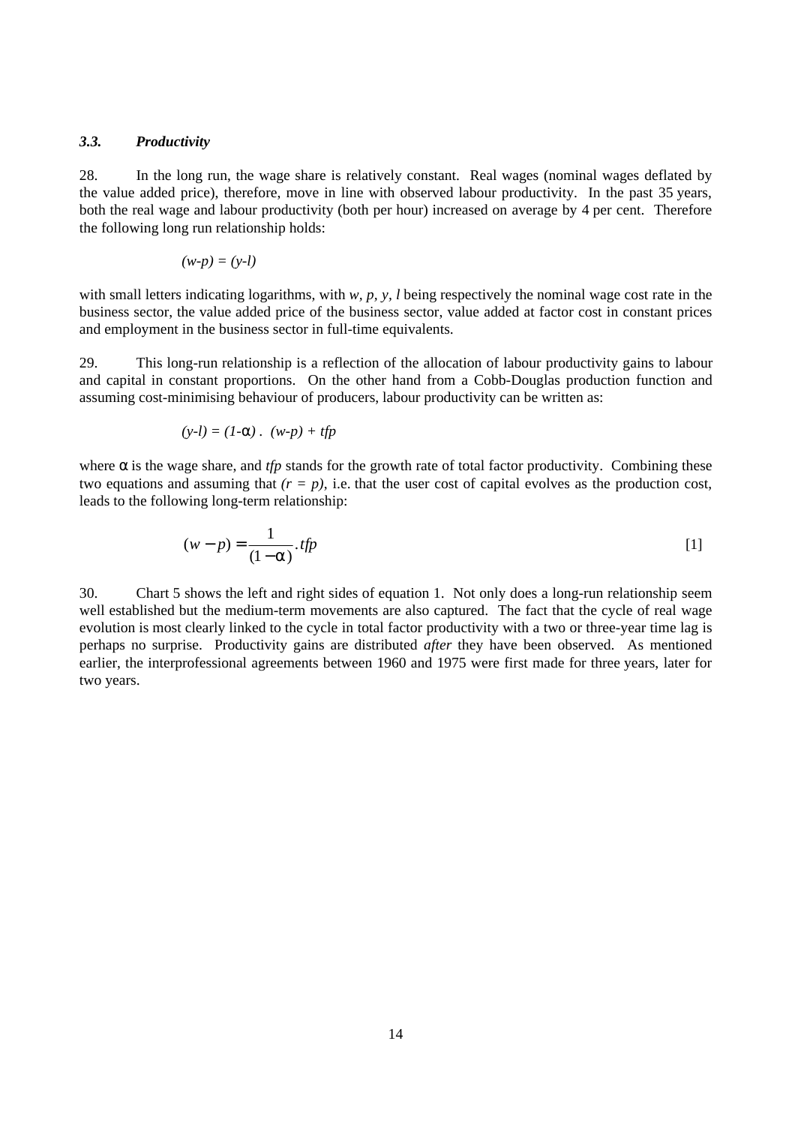#### *3.3. Productivity*

28. In the long run, the wage share is relatively constant. Real wages (nominal wages deflated by the value added price), therefore, move in line with observed labour productivity. In the past 35 years, both the real wage and labour productivity (both per hour) increased on average by 4 per cent. Therefore the following long run relationship holds:

$$
(w-p)=(y-l)
$$

with small letters indicating logarithms, with *w*, *p*, *y*, *l* being respectively the nominal wage cost rate in the business sector, the value added price of the business sector, value added at factor cost in constant prices and employment in the business sector in full-time equivalents.

29. This long-run relationship is a reflection of the allocation of labour productivity gains to labour and capital in constant proportions. On the other hand from a Cobb-Douglas production function and assuming cost-minimising behaviour of producers, labour productivity can be written as:

$$
(y-l)=(1-\alpha)\cdot(w-p)+\text{tfp}
$$

where  $\alpha$  is the wage share, and *tfp* stands for the growth rate of total factor productivity. Combining these two equations and assuming that  $(r = p)$ , i.e. that the user cost of capital evolves as the production cost, leads to the following long-term relationship:

$$
(w - p) = \frac{1}{(1 - \alpha)} \cdot \text{tfp}
$$

30. Chart 5 shows the left and right sides of equation 1. Not only does a long-run relationship seem well established but the medium-term movements are also captured. The fact that the cycle of real wage evolution is most clearly linked to the cycle in total factor productivity with a two or three-year time lag is perhaps no surprise. Productivity gains are distributed *after* they have been observed. As mentioned earlier, the interprofessional agreements between 1960 and 1975 were first made for three years, later for two years.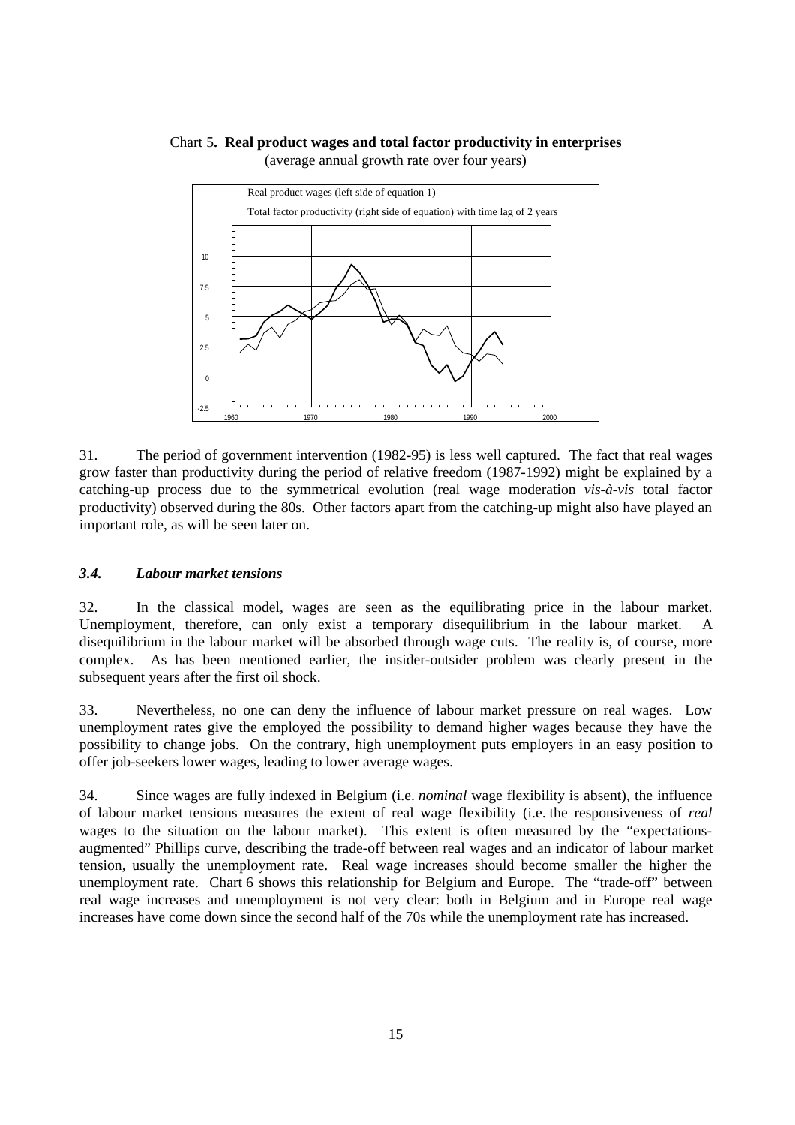#### Chart 5**. Real product wages and total factor productivity in enterprises** (average annual growth rate over four years)



31. The period of government intervention (1982-95) is less well captured. The fact that real wages grow faster than productivity during the period of relative freedom (1987-1992) might be explained by a catching-up process due to the symmetrical evolution (real wage moderation *vis-à-vis* total factor productivity) observed during the 80s. Other factors apart from the catching-up might also have played an important role, as will be seen later on.

#### *3.4. Labour market tensions*

32. In the classical model, wages are seen as the equilibrating price in the labour market. Unemployment, therefore, can only exist a temporary disequilibrium in the labour market. A disequilibrium in the labour market will be absorbed through wage cuts. The reality is, of course, more complex. As has been mentioned earlier, the insider-outsider problem was clearly present in the subsequent years after the first oil shock.

33. Nevertheless, no one can deny the influence of labour market pressure on real wages. Low unemployment rates give the employed the possibility to demand higher wages because they have the possibility to change jobs. On the contrary, high unemployment puts employers in an easy position to offer job-seekers lower wages, leading to lower average wages.

34. Since wages are fully indexed in Belgium (i.e. *nominal* wage flexibility is absent), the influence of labour market tensions measures the extent of real wage flexibility (i.e. the responsiveness of *real* wages to the situation on the labour market). This extent is often measured by the "expectationsaugmented" Phillips curve, describing the trade-off between real wages and an indicator of labour market tension, usually the unemployment rate. Real wage increases should become smaller the higher the unemployment rate. Chart 6 shows this relationship for Belgium and Europe. The "trade-off" between real wage increases and unemployment is not very clear: both in Belgium and in Europe real wage increases have come down since the second half of the 70s while the unemployment rate has increased.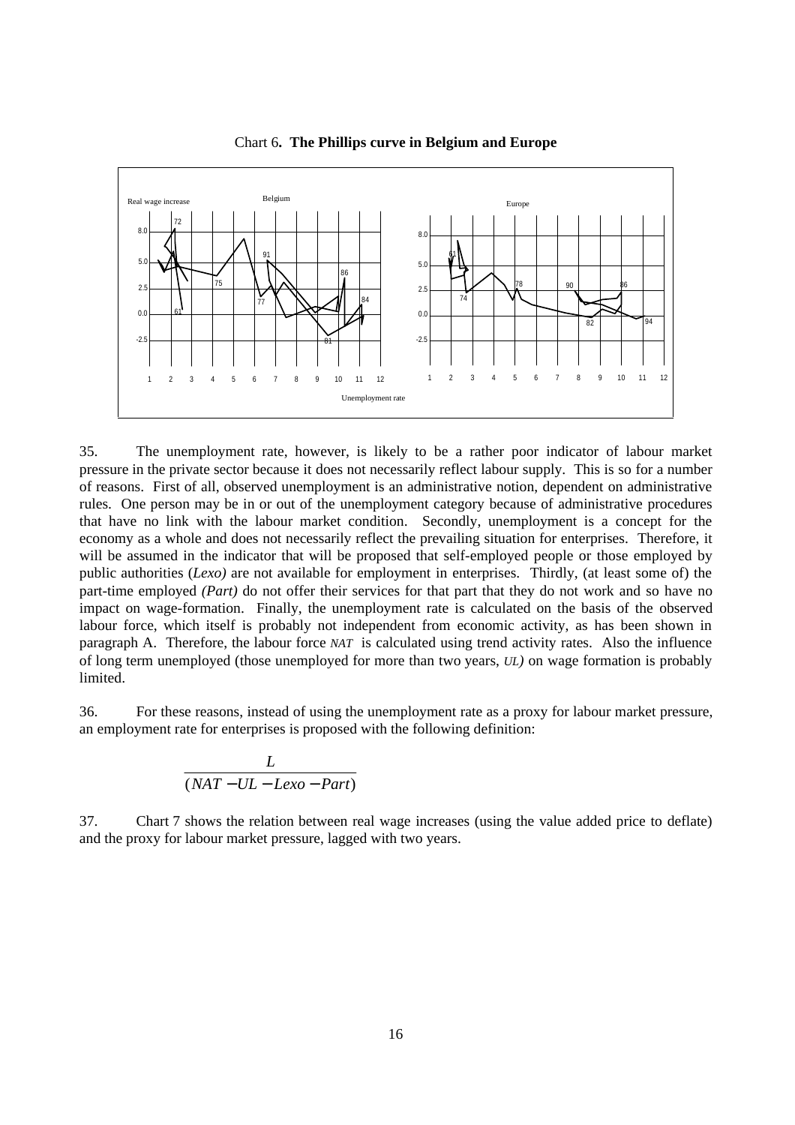

Chart 6**. The Phillips curve in Belgium and Europe**

35. The unemployment rate, however, is likely to be a rather poor indicator of labour market pressure in the private sector because it does not necessarily reflect labour supply. This is so for a number of reasons. First of all, observed unemployment is an administrative notion, dependent on administrative rules. One person may be in or out of the unemployment category because of administrative procedures that have no link with the labour market condition. Secondly, unemployment is a concept for the economy as a whole and does not necessarily reflect the prevailing situation for enterprises. Therefore, it will be assumed in the indicator that will be proposed that self-employed people or those employed by public authorities (*Lexo)* are not available for employment in enterprises. Thirdly, (at least some of) the part-time employed *(Part)* do not offer their services for that part that they do not work and so have no impact on wage-formation. Finally, the unemployment rate is calculated on the basis of the observed labour force, which itself is probably not independent from economic activity, as has been shown in paragraph A. Therefore, the labour force *NAT* is calculated using trend activity rates. Also the influence of long term unemployed (those unemployed for more than two years, *UL)* on wage formation is probably limited.

36. For these reasons, instead of using the unemployment rate as a proxy for labour market pressure, an employment rate for enterprises is proposed with the following definition:

$$
\frac{L}{(NAT - UL - Lexo - Part)}
$$

37. Chart 7 shows the relation between real wage increases (using the value added price to deflate) and the proxy for labour market pressure, lagged with two years.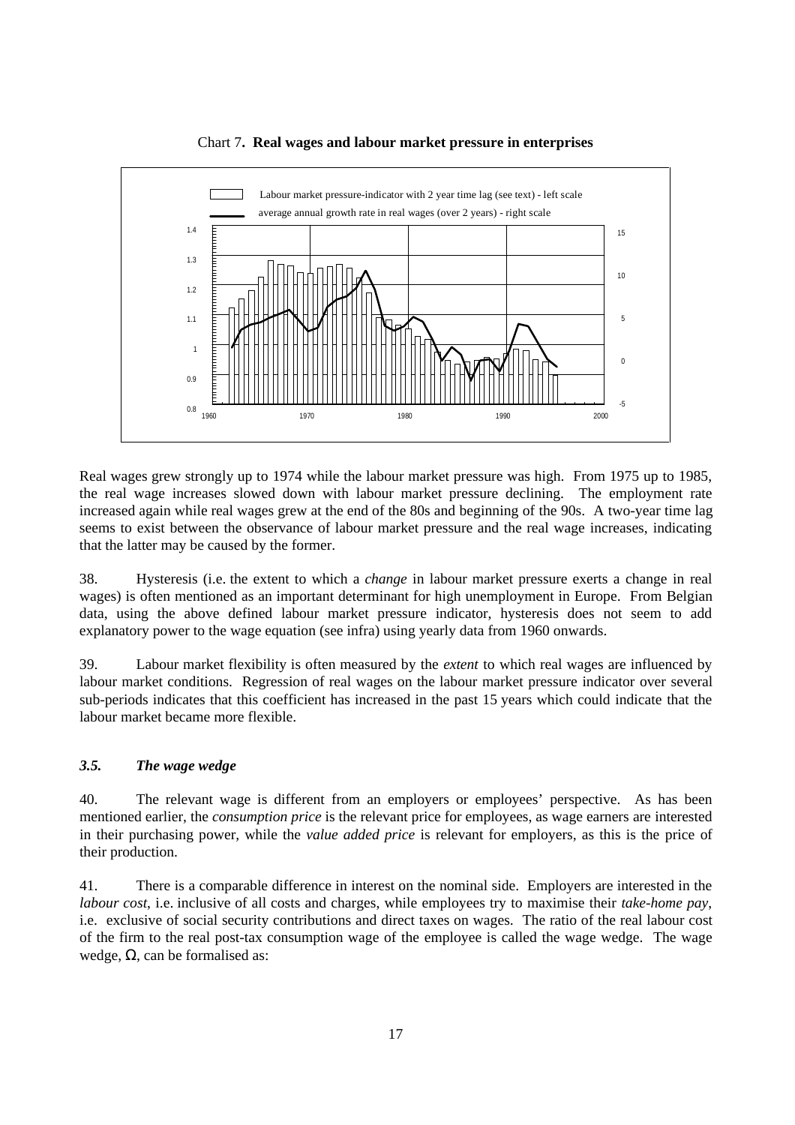

#### Chart 7**. Real wages and labour market pressure in enterprises**

Real wages grew strongly up to 1974 while the labour market pressure was high. From 1975 up to 1985, the real wage increases slowed down with labour market pressure declining. The employment rate increased again while real wages grew at the end of the 80s and beginning of the 90s. A two-year time lag seems to exist between the observance of labour market pressure and the real wage increases, indicating that the latter may be caused by the former.

38. Hysteresis (i.e. the extent to which a *change* in labour market pressure exerts a change in real wages) is often mentioned as an important determinant for high unemployment in Europe. From Belgian data, using the above defined labour market pressure indicator, hysteresis does not seem to add explanatory power to the wage equation (see infra) using yearly data from 1960 onwards.

39. Labour market flexibility is often measured by the *extent* to which real wages are influenced by labour market conditions. Regression of real wages on the labour market pressure indicator over several sub-periods indicates that this coefficient has increased in the past 15 years which could indicate that the labour market became more flexible.

### *3.5. The wage wedge*

40. The relevant wage is different from an employers or employees' perspective. As has been mentioned earlier, the *consumption price* is the relevant price for employees, as wage earners are interested in their purchasing power, while the *value added price* is relevant for employers, as this is the price of their production.

41. There is a comparable difference in interest on the nominal side. Employers are interested in the *labour cost*, i.e. inclusive of all costs and charges, while employees try to maximise their *take-home pay*, i.e. exclusive of social security contributions and direct taxes on wages. The ratio of the real labour cost of the firm to the real post-tax consumption wage of the employee is called the wage wedge. The wage wedge,  $\Omega$ , can be formalised as: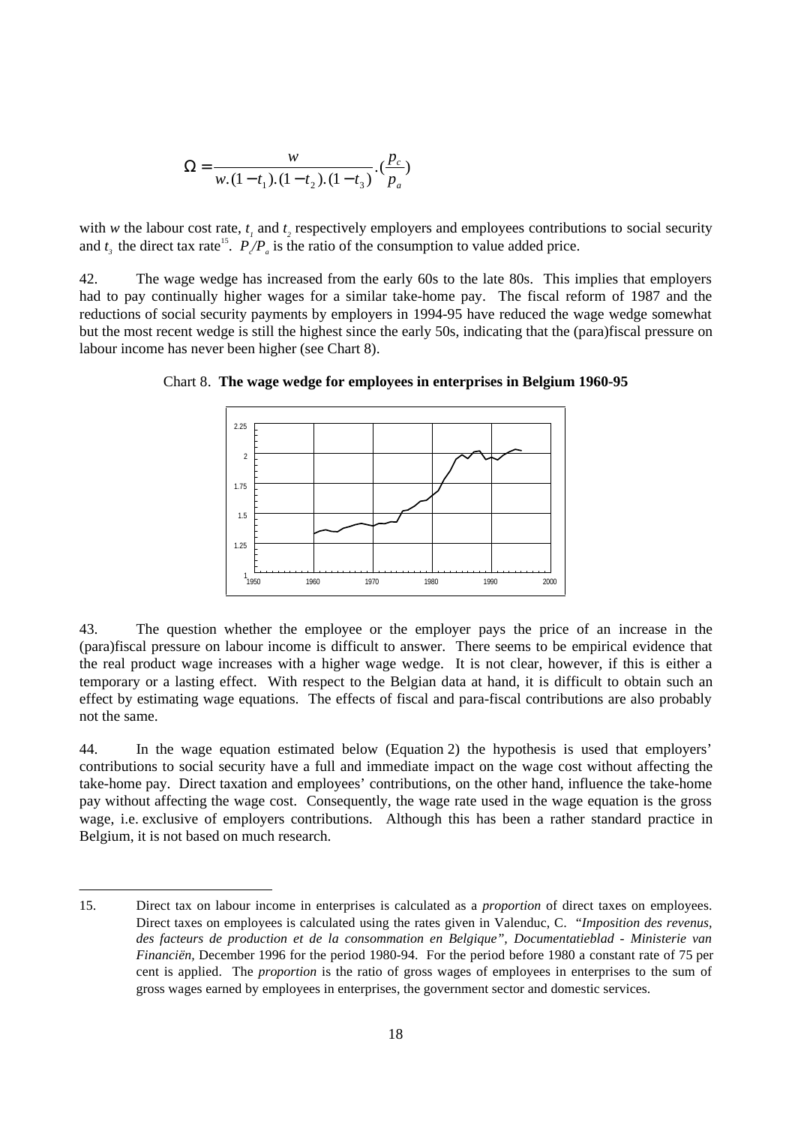$$
\Omega = \frac{w}{w.(1-t_1).(1-t_2).(1-t_3)} \cdot (\frac{p_c}{p_a})
$$

with *w* the labour cost rate,  $t_1$  and  $t_2$  respectively employers and employees contributions to social security and  $t_3$  the direct tax rate<sup>15</sup>.  $P_{\ell}/P_{a}$  is the ratio of the consumption to value added price.

42. The wage wedge has increased from the early 60s to the late 80s. This implies that employers had to pay continually higher wages for a similar take-home pay. The fiscal reform of 1987 and the reductions of social security payments by employers in 1994-95 have reduced the wage wedge somewhat but the most recent wedge is still the highest since the early 50s, indicating that the (para)fiscal pressure on labour income has never been higher (see Chart 8).



Chart 8. **The wage wedge for employees in enterprises in Belgium 1960-95**

43. The question whether the employee or the employer pays the price of an increase in the (para)fiscal pressure on labour income is difficult to answer. There seems to be empirical evidence that the real product wage increases with a higher wage wedge. It is not clear, however, if this is either a temporary or a lasting effect. With respect to the Belgian data at hand, it is difficult to obtain such an effect by estimating wage equations. The effects of fiscal and para-fiscal contributions are also probably not the same.

44. In the wage equation estimated below (Equation 2) the hypothesis is used that employers' contributions to social security have a full and immediate impact on the wage cost without affecting the take-home pay. Direct taxation and employees' contributions, on the other hand, influence the take-home pay without affecting the wage cost. Consequently, the wage rate used in the wage equation is the gross wage, i.e. exclusive of employers contributions. Although this has been a rather standard practice in Belgium, it is not based on much research.

<sup>15.</sup> Direct tax on labour income in enterprises is calculated as a *proportion* of direct taxes on employees. Direct taxes on employees is calculated using the rates given in Valenduc, C. "*Imposition des revenus, des facteurs de production et de la consommation en Belgique", Documentatieblad - Ministerie van Financiën,* December 1996 for the period 1980-94. For the period before 1980 a constant rate of 75 per cent is applied. The *proportion* is the ratio of gross wages of employees in enterprises to the sum of gross wages earned by employees in enterprises, the government sector and domestic services.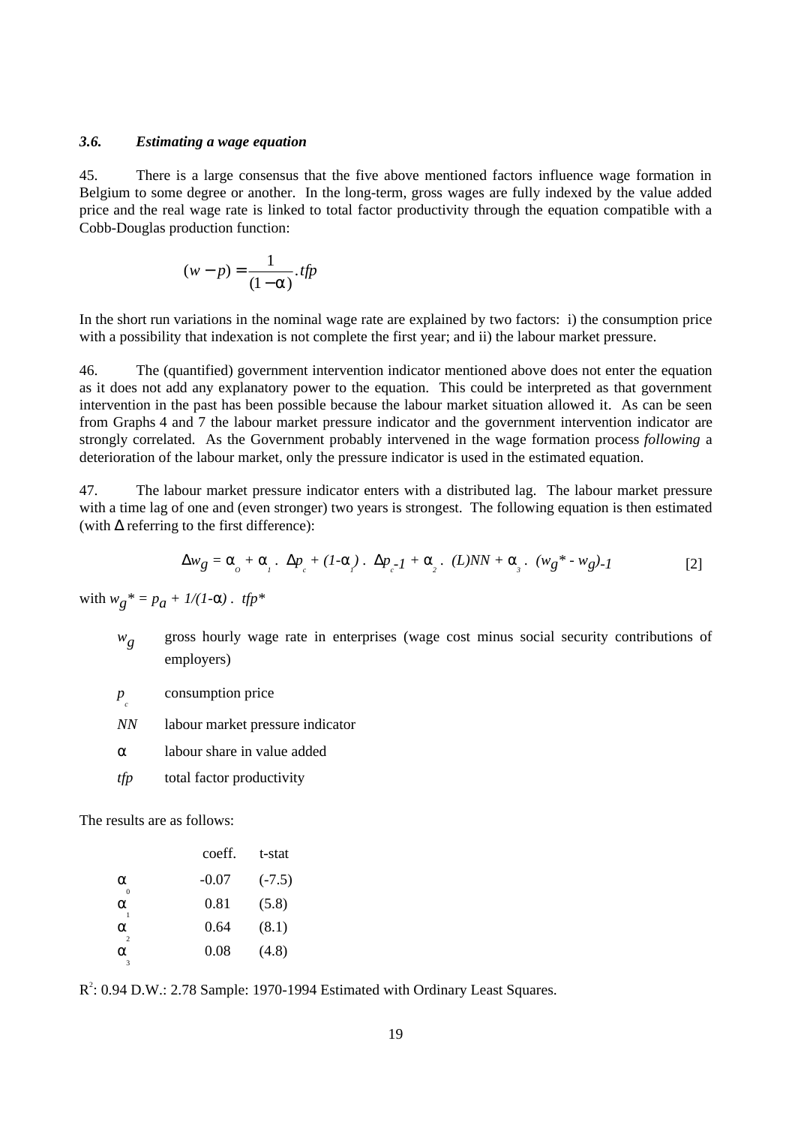#### *3.6. Estimating a wage equation*

45. There is a large consensus that the five above mentioned factors influence wage formation in Belgium to some degree or another. In the long-term, gross wages are fully indexed by the value added price and the real wage rate is linked to total factor productivity through the equation compatible with a Cobb-Douglas production function:

$$
(w-p) = \frac{1}{(1-\alpha)} \cdot \textit{tfp}
$$

In the short run variations in the nominal wage rate are explained by two factors: i) the consumption price with a possibility that indexation is not complete the first year; and ii) the labour market pressure.

46. The (quantified) government intervention indicator mentioned above does not enter the equation as it does not add any explanatory power to the equation. This could be interpreted as that government intervention in the past has been possible because the labour market situation allowed it. As can be seen from Graphs 4 and 7 the labour market pressure indicator and the government intervention indicator are strongly correlated. As the Government probably intervened in the wage formation process *following* a deterioration of the labour market, only the pressure indicator is used in the estimated equation.

47. The labour market pressure indicator enters with a distributed lag. The labour market pressure with a time lag of one and (even stronger) two years is strongest. The following equation is then estimated (with  $\Delta$  referring to the first difference):

$$
\Delta w_g = \alpha_o + \alpha_i \cdot \Delta p_c + (I - \alpha_i) \cdot \Delta p_c - I + \alpha_i \cdot (L) NN + \alpha_i \cdot (w_g * - w_g) - I
$$
 [2]

with  $w_g^* = p_g + 1/(1-\alpha)$ . tfp\*

- *wg* gross hourly wage rate in enterprises (wage cost minus social security contributions of employers)
- *p c* consumption price
- *NN* labour market pressure indicator
- $\alpha$  labour share in value added
- *tfp* total factor productivity

The results are as follows:

|                    | coeff.  | t-stat   |
|--------------------|---------|----------|
| α                  | $-0.07$ | $(-7.5)$ |
| α                  | 0.81    | (5.8)    |
| α<br>$\mathcal{L}$ | 0.64    | (8.1)    |
| α                  | 0.08    | (4.8)    |
|                    |         |          |

 $R^2$ : 0.94 D.W.: 2.78 Sample: 1970-1994 Estimated with Ordinary Least Squares.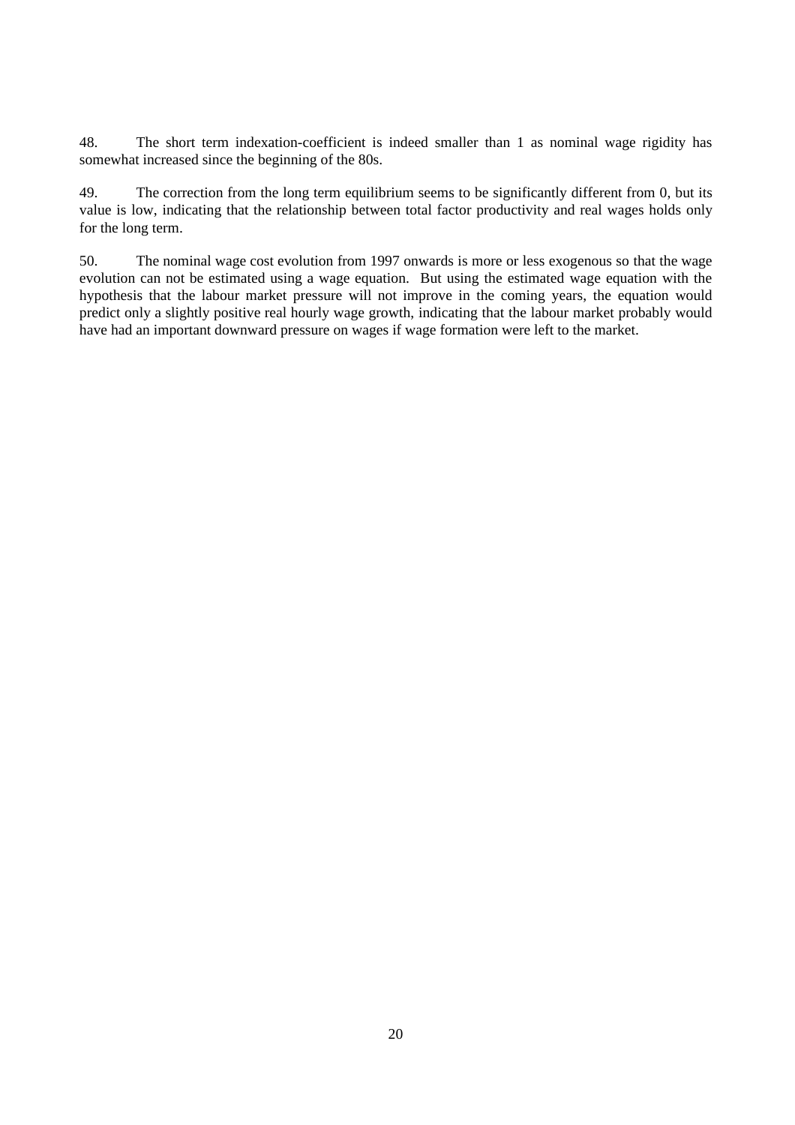48. The short term indexation-coefficient is indeed smaller than 1 as nominal wage rigidity has somewhat increased since the beginning of the 80s.

49. The correction from the long term equilibrium seems to be significantly different from 0, but its value is low, indicating that the relationship between total factor productivity and real wages holds only for the long term.

50. The nominal wage cost evolution from 1997 onwards is more or less exogenous so that the wage evolution can not be estimated using a wage equation. But using the estimated wage equation with the hypothesis that the labour market pressure will not improve in the coming years, the equation would predict only a slightly positive real hourly wage growth, indicating that the labour market probably would have had an important downward pressure on wages if wage formation were left to the market.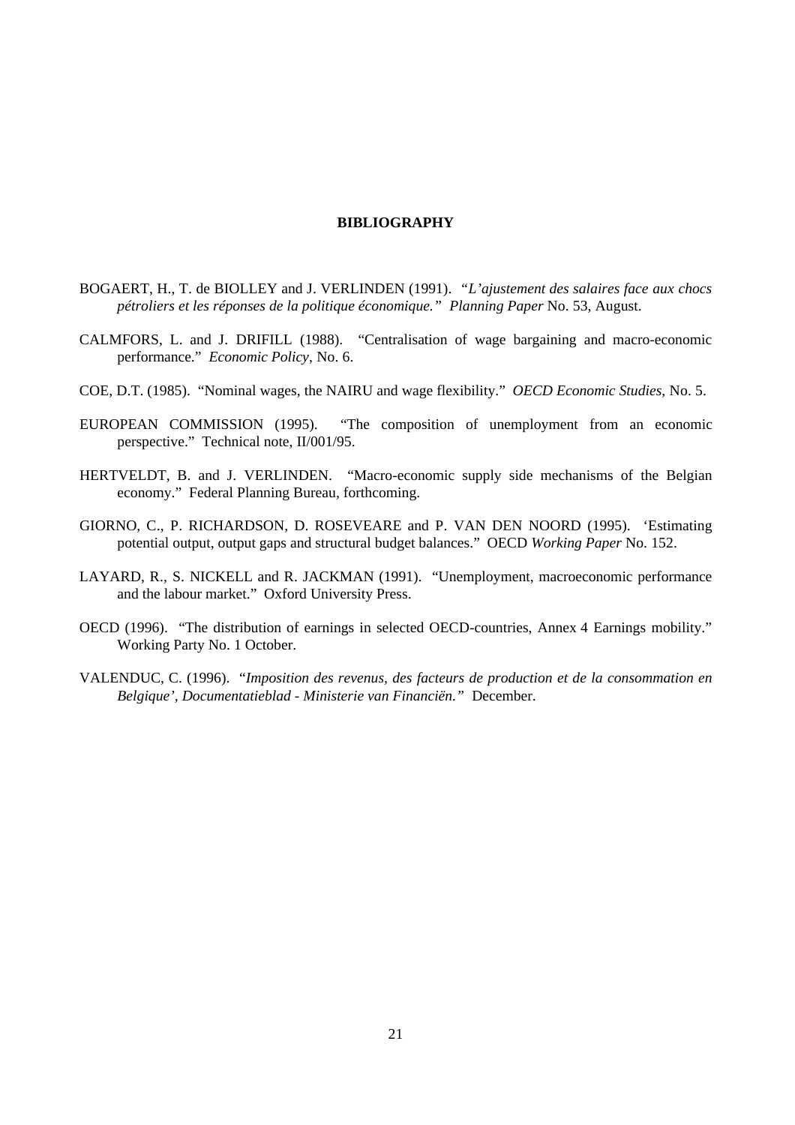#### **BIBLIOGRAPHY**

- BOGAERT, H., T. de BIOLLEY and J. VERLINDEN (1991). *"L'ajustement des salaires face aux chocs pétroliers et les réponses de la politique économique." Planning Paper* No. 53, August.
- CALMFORS, L. and J. DRIFILL (1988). "Centralisation of wage bargaining and macro-economic performance." *Economic Policy*, No. 6.
- COE, D.T. (1985). "Nominal wages, the NAIRU and wage flexibility." *OECD Economic Studies*, No. 5.
- EUROPEAN COMMISSION (1995). "The composition of unemployment from an economic perspective." Technical note, II/001/95.
- HERTVELDT, B. and J. VERLINDEN. "Macro-economic supply side mechanisms of the Belgian economy." Federal Planning Bureau, forthcoming.
- GIORNO, C., P. RICHARDSON, D. ROSEVEARE and P. VAN DEN NOORD (1995). 'Estimating potential output, output gaps and structural budget balances." OECD *Working Paper* No. 152.
- LAYARD, R., S. NICKELL and R. JACKMAN (1991). "Unemployment, macroeconomic performance and the labour market." Oxford University Press.
- OECD (1996). "The distribution of earnings in selected OECD-countries, Annex 4 Earnings mobility." Working Party No. 1 October.
- VALENDUC, C. (1996). "*Imposition des revenus, des facteurs de production et de la consommation en Belgique', Documentatieblad - Ministerie van Financiën."* December.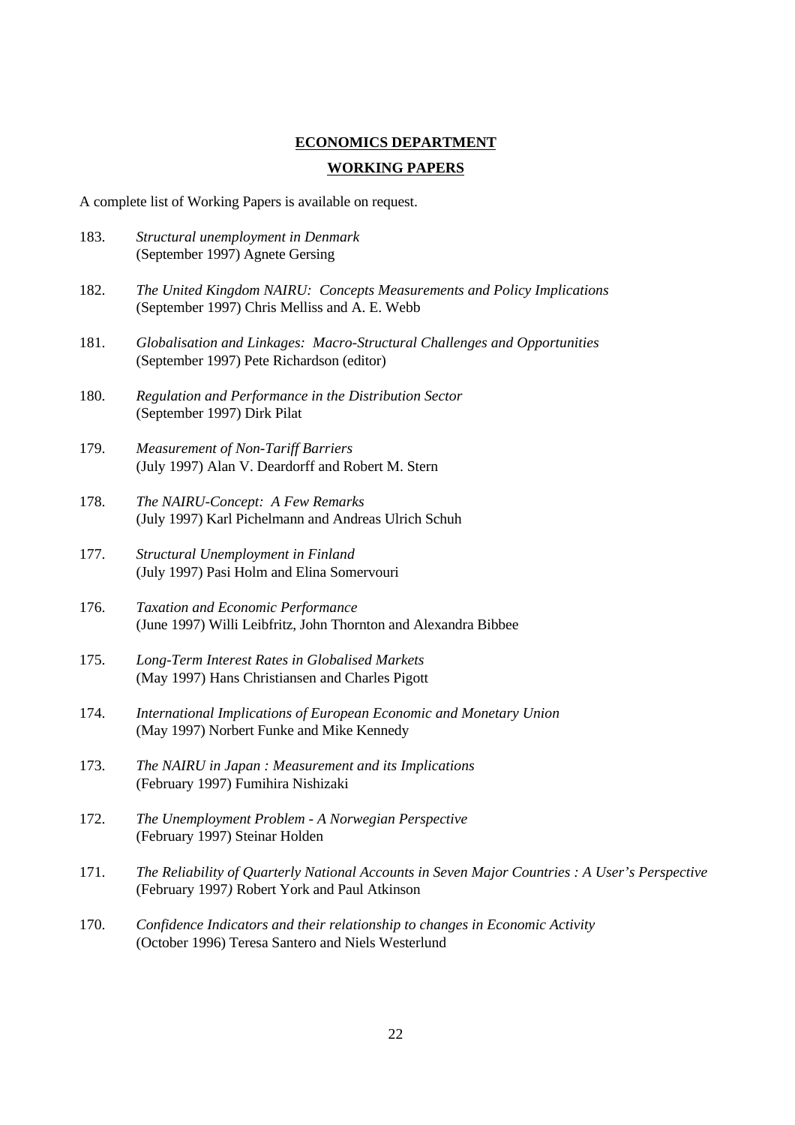#### **ECONOMICS DEPARTMENT**

#### **WORKING PAPERS**

A complete list of Working Papers is available on request.

- 183. *Structural unemployment in Denmark* (September 1997) Agnete Gersing
- 182. *The United Kingdom NAIRU: Concepts Measurements and Policy Implications* (September 1997) Chris Melliss and A. E. Webb
- 181. *Globalisation and Linkages: Macro-Structural Challenges and Opportunities* (September 1997) Pete Richardson (editor)
- 180. *Regulation and Performance in the Distribution Sector* (September 1997) Dirk Pilat
- 179. *Measurement of Non-Tariff Barriers* (July 1997) Alan V. Deardorff and Robert M. Stern
- 178. *The NAIRU-Concept: A Few Remarks* (July 1997) Karl Pichelmann and Andreas Ulrich Schuh
- 177. *Structural Unemployment in Finland* (July 1997) Pasi Holm and Elina Somervouri
- 176. *Taxation and Economic Performance* (June 1997) Willi Leibfritz, John Thornton and Alexandra Bibbee
- 175. *Long-Term Interest Rates in Globalised Markets* (May 1997) Hans Christiansen and Charles Pigott
- 174. *International Implications of European Economic and Monetary Union* (May 1997) Norbert Funke and Mike Kennedy
- 173. *The NAIRU in Japan : Measurement and its Implications* (February 1997) Fumihira Nishizaki
- 172. *The Unemployment Problem A Norwegian Perspective* (February 1997) Steinar Holden
- 171. *The Reliability of Quarterly National Accounts in Seven Major Countries : A User's Perspective* (February 1997*)* Robert York and Paul Atkinson
- 170. *Confidence Indicators and their relationship to changes in Economic Activity* (October 1996) Teresa Santero and Niels Westerlund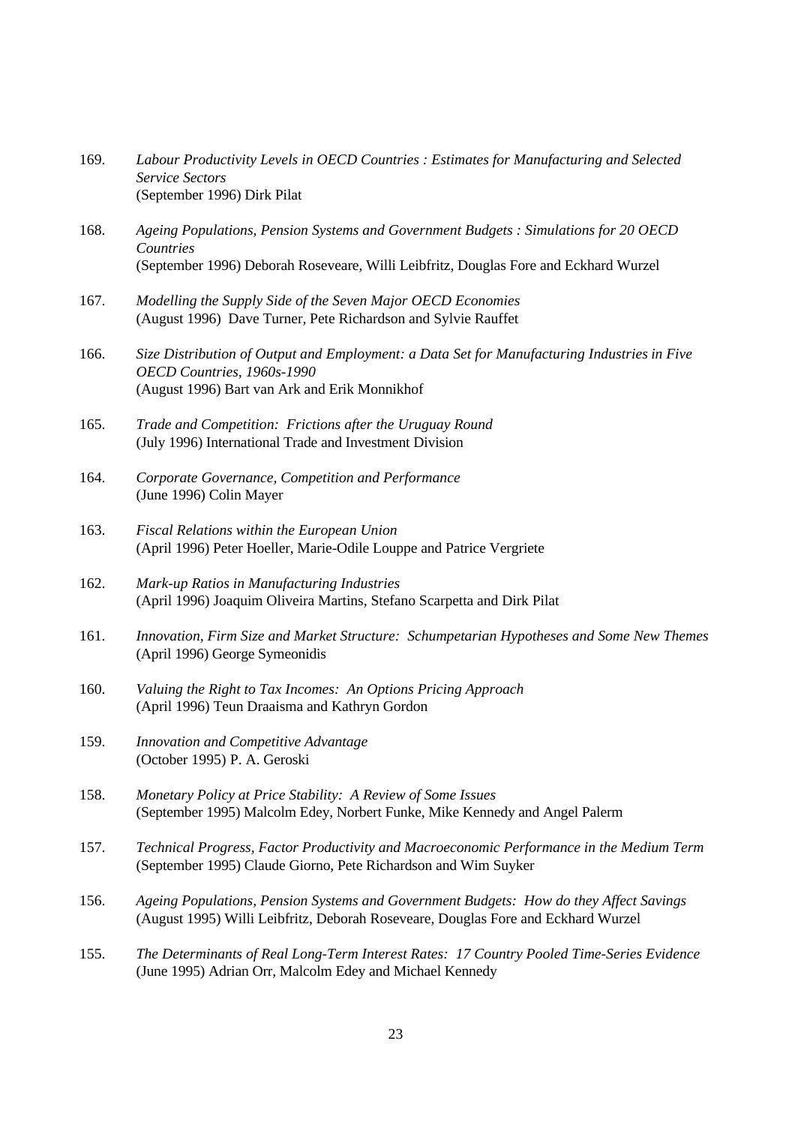- 169. *Labour Productivity Levels in OECD Countries : Estimates for Manufacturing and Selected Service Sectors* (September 1996) Dirk Pilat
- 168. *Ageing Populations, Pension Systems and Government Budgets : Simulations for 20 OECD Countries* (September 1996) Deborah Roseveare, Willi Leibfritz, Douglas Fore and Eckhard Wurzel
- 167. *Modelling the Supply Side of the Seven Major OECD Economies* (August 1996) Dave Turner, Pete Richardson and Sylvie Rauffet
- 166. *Size Distribution of Output and Employment: a Data Set for Manufacturing Industries in Five OECD Countries, 1960s-1990* (August 1996) Bart van Ark and Erik Monnikhof
- 165. *Trade and Competition: Frictions after the Uruguay Round* (July 1996) International Trade and Investment Division
- 164. *Corporate Governance, Competition and Performance* (June 1996) Colin Mayer
- 163. *Fiscal Relations within the European Union* (April 1996) Peter Hoeller, Marie-Odile Louppe and Patrice Vergriete
- 162. *Mark-up Ratios in Manufacturing Industries* (April 1996) Joaquim Oliveira Martins, Stefano Scarpetta and Dirk Pilat
- 161. *Innovation, Firm Size and Market Structure: Schumpetarian Hypotheses and Some New Themes* (April 1996) George Symeonidis
- 160. *Valuing the Right to Tax Incomes: An Options Pricing Approach* (April 1996) Teun Draaisma and Kathryn Gordon
- 159. *Innovation and Competitive Advantage* (October 1995) P. A. Geroski
- 158. *Monetary Policy at Price Stability: A Review of Some Issues* (September 1995) Malcolm Edey, Norbert Funke, Mike Kennedy and Angel Palerm
- 157. *Technical Progress, Factor Productivity and Macroeconomic Performance in the Medium Term* (September 1995) Claude Giorno, Pete Richardson and Wim Suyker
- 156. *Ageing Populations, Pension Systems and Government Budgets: How do they Affect Savings* (August 1995) Willi Leibfritz, Deborah Roseveare, Douglas Fore and Eckhard Wurzel
- 155. *The Determinants of Real Long-Term Interest Rates: 17 Country Pooled Time-Series Evidence* (June 1995) Adrian Orr, Malcolm Edey and Michael Kennedy